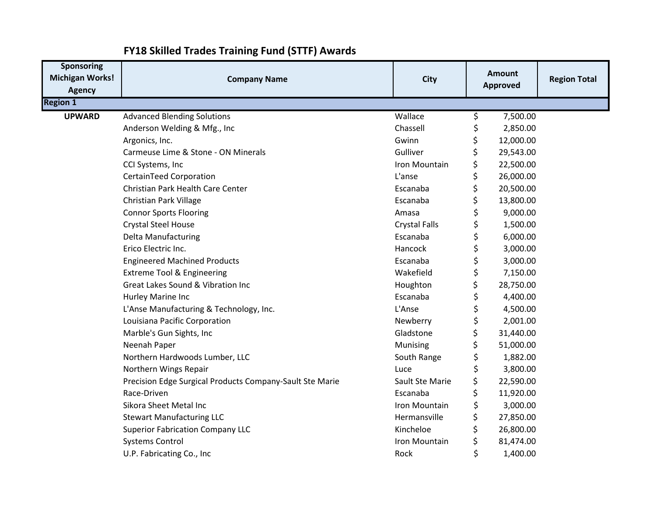| <b>Sponsoring</b><br><b>Michigan Works!</b><br><b>Agency</b> | <b>Company Name</b>                                      | <b>City</b>          |     | <b>Amount</b><br><b>Approved</b> | <b>Region Total</b> |
|--------------------------------------------------------------|----------------------------------------------------------|----------------------|-----|----------------------------------|---------------------|
| <b>Region 1</b>                                              |                                                          |                      |     |                                  |                     |
| <b>UPWARD</b>                                                | <b>Advanced Blending Solutions</b>                       | Wallace              | \$  | 7,500.00                         |                     |
|                                                              | Anderson Welding & Mfg., Inc                             | Chassell             | \$  | 2,850.00                         |                     |
|                                                              | Argonics, Inc.                                           | Gwinn                | \$  | 12,000.00                        |                     |
|                                                              | Carmeuse Lime & Stone - ON Minerals                      | Gulliver             | \$  | 29,543.00                        |                     |
|                                                              | CCI Systems, Inc                                         | Iron Mountain        | \$  | 22,500.00                        |                     |
|                                                              | CertainTeed Corporation                                  | L'anse               | \$  | 26,000.00                        |                     |
|                                                              | Christian Park Health Care Center                        | Escanaba             | \$  | 20,500.00                        |                     |
|                                                              | <b>Christian Park Village</b>                            | Escanaba             | \$  | 13,800.00                        |                     |
|                                                              | <b>Connor Sports Flooring</b>                            | Amasa                | \$  | 9,000.00                         |                     |
|                                                              | <b>Crystal Steel House</b>                               | <b>Crystal Falls</b> | \$  | 1,500.00                         |                     |
|                                                              | <b>Delta Manufacturing</b>                               | Escanaba             | \$  | 6,000.00                         |                     |
|                                                              | Erico Electric Inc.                                      | Hancock              | \$  | 3,000.00                         |                     |
|                                                              | <b>Engineered Machined Products</b>                      | Escanaba             | \$  | 3,000.00                         |                     |
|                                                              | <b>Extreme Tool &amp; Engineering</b>                    | Wakefield            | \$  | 7,150.00                         |                     |
|                                                              | Great Lakes Sound & Vibration Inc                        | Houghton             | \$  | 28,750.00                        |                     |
|                                                              | Hurley Marine Inc                                        | Escanaba             | \$  | 4,400.00                         |                     |
|                                                              | L'Anse Manufacturing & Technology, Inc.                  | L'Anse               | \$  | 4,500.00                         |                     |
|                                                              | Louisiana Pacific Corporation                            | Newberry             | \$  | 2,001.00                         |                     |
|                                                              | Marble's Gun Sights, Inc                                 | Gladstone            | \$  | 31,440.00                        |                     |
|                                                              | Neenah Paper                                             | Munising             | \$  | 51,000.00                        |                     |
|                                                              | Northern Hardwoods Lumber, LLC                           | South Range          | \$  | 1,882.00                         |                     |
|                                                              | Northern Wings Repair                                    | Luce                 | \$  | 3,800.00                         |                     |
|                                                              | Precision Edge Surgical Products Company-Sault Ste Marie | Sault Ste Marie      | \$  | 22,590.00                        |                     |
|                                                              | Race-Driven                                              | Escanaba             | \$  | 11,920.00                        |                     |
|                                                              | Sikora Sheet Metal Inc                                   | Iron Mountain        | \$  | 3,000.00                         |                     |
|                                                              | <b>Stewart Manufacturing LLC</b>                         | Hermansville         | \$  | 27,850.00                        |                     |
|                                                              | <b>Superior Fabrication Company LLC</b>                  | Kincheloe            | \$  | 26,800.00                        |                     |
|                                                              | <b>Systems Control</b>                                   | Iron Mountain        | \$. | 81,474.00                        |                     |
|                                                              | U.P. Fabricating Co., Inc                                | Rock                 | \$  | 1,400.00                         |                     |

## **FY18 Skilled Trades Training Fund (STTF) Awards**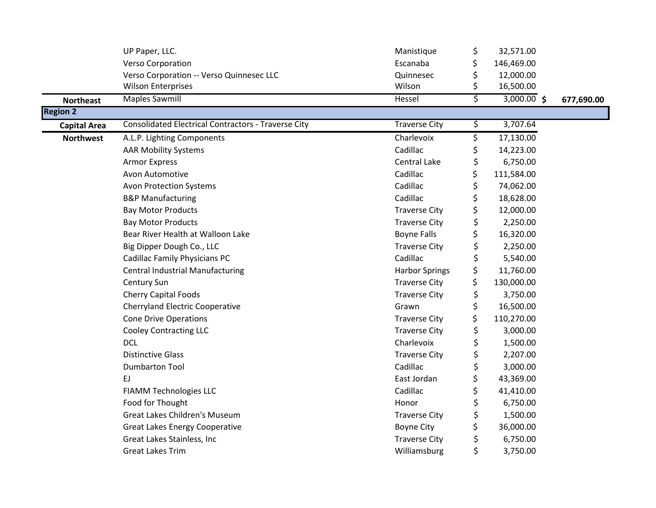|                     | UP Paper, LLC.                                             | Manistique            | \$<br>32,571.00     |            |
|---------------------|------------------------------------------------------------|-----------------------|---------------------|------------|
|                     | <b>Verso Corporation</b>                                   | Escanaba              | \$<br>146,469.00    |            |
|                     | Verso Corporation -- Verso Quinnesec LLC                   | Quinnesec             | \$<br>12,000.00     |            |
|                     | <b>Wilson Enterprises</b>                                  | Wilson                | \$<br>16,500.00     |            |
| <b>Northeast</b>    | <b>Maples Sawmill</b>                                      | Hessel                | \$<br>$3,000.00$ \$ | 677,690.00 |
| <b>Region 2</b>     |                                                            |                       |                     |            |
| <b>Capital Area</b> | <b>Consolidated Electrical Contractors - Traverse City</b> | <b>Traverse City</b>  | \$<br>3,707.64      |            |
| <b>Northwest</b>    | A.L.P. Lighting Components                                 | Charlevoix            | \$<br>17,130.00     |            |
|                     | <b>AAR Mobility Systems</b>                                | Cadillac              | \$<br>14,223.00     |            |
|                     | <b>Armor Express</b>                                       | Central Lake          | \$<br>6,750.00      |            |
|                     | Avon Automotive                                            | Cadillac              | \$<br>111,584.00    |            |
|                     | <b>Avon Protection Systems</b>                             | Cadillac              | \$<br>74,062.00     |            |
|                     | <b>B&amp;P Manufacturing</b>                               | Cadillac              | \$<br>18,628.00     |            |
|                     | <b>Bay Motor Products</b>                                  | <b>Traverse City</b>  | \$<br>12,000.00     |            |
|                     | <b>Bay Motor Products</b>                                  | <b>Traverse City</b>  | \$<br>2,250.00      |            |
|                     | Bear River Health at Walloon Lake                          | <b>Boyne Falls</b>    | \$<br>16,320.00     |            |
|                     | Big Dipper Dough Co., LLC                                  | <b>Traverse City</b>  | \$<br>2,250.00      |            |
|                     | <b>Cadillac Family Physicians PC</b>                       | Cadillac              | \$<br>5,540.00      |            |
|                     | <b>Central Industrial Manufacturing</b>                    | <b>Harbor Springs</b> | \$<br>11,760.00     |            |
|                     | Century Sun                                                | <b>Traverse City</b>  | \$<br>130,000.00    |            |
|                     | <b>Cherry Capital Foods</b>                                | <b>Traverse City</b>  | \$<br>3,750.00      |            |
|                     | <b>Cherryland Electric Cooperative</b>                     | Grawn                 | \$<br>16,500.00     |            |
|                     | <b>Cone Drive Operations</b>                               | <b>Traverse City</b>  | \$<br>110,270.00    |            |
|                     | <b>Cooley Contracting LLC</b>                              | <b>Traverse City</b>  | \$<br>3,000.00      |            |
|                     | <b>DCL</b>                                                 | Charlevoix            | \$<br>1,500.00      |            |
|                     | <b>Distinctive Glass</b>                                   | <b>Traverse City</b>  | \$<br>2,207.00      |            |
|                     | <b>Dumbarton Tool</b>                                      | Cadillac              | \$<br>3,000.00      |            |
|                     | EJ                                                         | East Jordan           | \$<br>43,369.00     |            |
|                     | <b>FIAMM Technologies LLC</b>                              | Cadillac              | \$<br>41,410.00     |            |
|                     | Food for Thought                                           | Honor                 | \$<br>6,750.00      |            |
|                     | <b>Great Lakes Children's Museum</b>                       | <b>Traverse City</b>  | \$<br>1,500.00      |            |
|                     | <b>Great Lakes Energy Cooperative</b>                      | <b>Boyne City</b>     | \$<br>36,000.00     |            |
|                     | Great Lakes Stainless, Inc                                 | <b>Traverse City</b>  | \$<br>6,750.00      |            |
|                     | <b>Great Lakes Trim</b>                                    | Williamsburg          | \$<br>3,750.00      |            |
|                     |                                                            |                       |                     |            |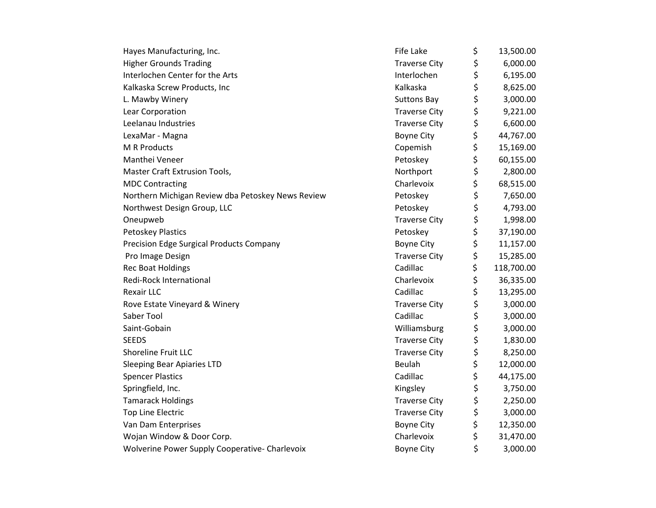| Hayes Manufacturing, Inc.                         | <b>Fife Lake</b>     | \$<br>13,500.00  |
|---------------------------------------------------|----------------------|------------------|
| <b>Higher Grounds Trading</b>                     | <b>Traverse City</b> | \$<br>6,000.00   |
| Interlochen Center for the Arts                   | Interlochen          | \$<br>6,195.00   |
| Kalkaska Screw Products, Inc                      | Kalkaska             | \$<br>8,625.00   |
| L. Mawby Winery                                   | <b>Suttons Bay</b>   | \$<br>3,000.00   |
| Lear Corporation                                  | <b>Traverse City</b> | \$<br>9,221.00   |
| Leelanau Industries                               | <b>Traverse City</b> | \$<br>6,600.00   |
| LexaMar - Magna                                   | <b>Boyne City</b>    | \$<br>44,767.00  |
| <b>M R Products</b>                               | Copemish             | \$<br>15,169.00  |
| Manthei Veneer                                    | Petoskey             | \$<br>60,155.00  |
| Master Craft Extrusion Tools,                     | Northport            | \$<br>2,800.00   |
| <b>MDC Contracting</b>                            | Charlevoix           | \$<br>68,515.00  |
| Northern Michigan Review dba Petoskey News Review | Petoskey             | \$<br>7,650.00   |
| Northwest Design Group, LLC                       | Petoskey             | \$<br>4,793.00   |
| Oneupweb                                          | <b>Traverse City</b> | \$<br>1,998.00   |
| <b>Petoskey Plastics</b>                          | Petoskey             | \$<br>37,190.00  |
| Precision Edge Surgical Products Company          | <b>Boyne City</b>    | \$<br>11,157.00  |
| Pro Image Design                                  | <b>Traverse City</b> | \$<br>15,285.00  |
| <b>Rec Boat Holdings</b>                          | Cadillac             | \$<br>118,700.00 |
| Redi-Rock International                           | Charlevoix           | \$<br>36,335.00  |
| <b>Rexair LLC</b>                                 | Cadillac             | \$<br>13,295.00  |
| Rove Estate Vineyard & Winery                     | <b>Traverse City</b> | \$<br>3,000.00   |
| Saber Tool                                        | Cadillac             | \$<br>3,000.00   |
| Saint-Gobain                                      | Williamsburg         | \$<br>3,000.00   |
| <b>SEEDS</b>                                      | <b>Traverse City</b> | \$<br>1,830.00   |
| <b>Shoreline Fruit LLC</b>                        | <b>Traverse City</b> | \$<br>8,250.00   |
| <b>Sleeping Bear Apiaries LTD</b>                 | Beulah               | \$<br>12,000.00  |
| <b>Spencer Plastics</b>                           | Cadillac             | \$<br>44,175.00  |
| Springfield, Inc.                                 | Kingsley             | \$<br>3,750.00   |
| <b>Tamarack Holdings</b>                          | <b>Traverse City</b> | \$<br>2,250.00   |
| <b>Top Line Electric</b>                          | <b>Traverse City</b> | \$<br>3,000.00   |
| Van Dam Enterprises                               | <b>Boyne City</b>    | \$<br>12,350.00  |
| Wojan Window & Door Corp.                         | Charlevoix           | \$<br>31,470.00  |
| Wolverine Power Supply Cooperative- Charlevoix    | <b>Boyne City</b>    | \$<br>3,000.00   |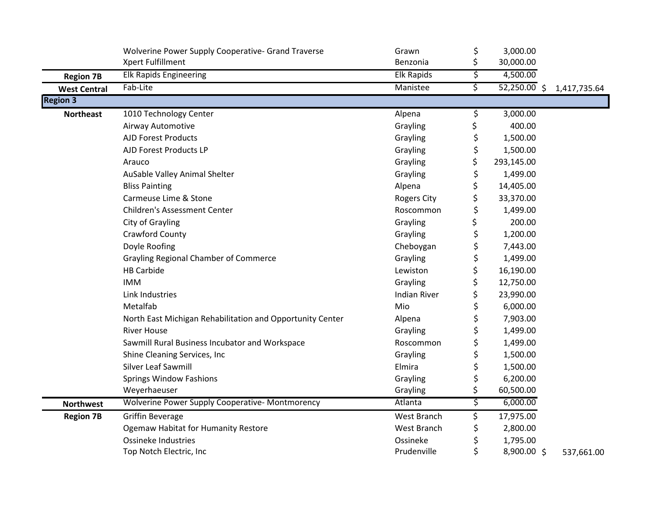|                     | Wolverine Power Supply Cooperative- Grand Traverse<br>Xpert Fulfillment | Grawn<br>Benzonia   | \$<br>\$ | 3,000.00<br>30,000.00 |              |
|---------------------|-------------------------------------------------------------------------|---------------------|----------|-----------------------|--------------|
| <b>Region 7B</b>    | <b>Elk Rapids Engineering</b>                                           | <b>Elk Rapids</b>   | \$       | 4,500.00              |              |
| <b>West Central</b> | Fab-Lite                                                                | Manistee            | \$       | $52,250.00$ \$        | 1,417,735.64 |
| <b>Region 3</b>     |                                                                         |                     |          |                       |              |
| <b>Northeast</b>    | 1010 Technology Center                                                  | Alpena              | \$       | 3,000.00              |              |
|                     | Airway Automotive                                                       | Grayling            | \$       | 400.00                |              |
|                     | <b>AJD Forest Products</b>                                              | Grayling            | \$       | 1,500.00              |              |
|                     | AJD Forest Products LP                                                  | Grayling            | \$       | 1,500.00              |              |
|                     | Arauco                                                                  | Grayling            | \$       | 293,145.00            |              |
|                     | AuSable Valley Animal Shelter                                           | Grayling            | \$       | 1,499.00              |              |
|                     | <b>Bliss Painting</b>                                                   | Alpena              | \$       | 14,405.00             |              |
|                     | Carmeuse Lime & Stone                                                   | <b>Rogers City</b>  | \$       | 33,370.00             |              |
|                     | <b>Children's Assessment Center</b>                                     | Roscommon           | \$       | 1,499.00              |              |
|                     | City of Grayling                                                        | Grayling            | \$       | 200.00                |              |
|                     | Crawford County                                                         | Grayling            | \$       | 1,200.00              |              |
|                     | Doyle Roofing                                                           | Cheboygan           |          | 7,443.00              |              |
|                     | <b>Grayling Regional Chamber of Commerce</b>                            | Grayling            | \$       | 1,499.00              |              |
|                     | <b>HB Carbide</b>                                                       | Lewiston            | \$       | 16,190.00             |              |
|                     | <b>IMM</b>                                                              | Grayling            | \$       | 12,750.00             |              |
|                     | Link Industries                                                         | <b>Indian River</b> | \$       | 23,990.00             |              |
|                     | Metalfab                                                                | Mio                 | \$       | 6,000.00              |              |
|                     | North East Michigan Rehabilitation and Opportunity Center               | Alpena              |          | 7,903.00              |              |
|                     | <b>River House</b>                                                      | Grayling            | \$       | 1,499.00              |              |
|                     | Sawmill Rural Business Incubator and Workspace                          | Roscommon           | \$       | 1,499.00              |              |
|                     | Shine Cleaning Services, Inc                                            | Grayling            | \$       | 1,500.00              |              |
|                     | Silver Leaf Sawmill                                                     | Elmira              |          | 1,500.00              |              |
|                     | <b>Springs Window Fashions</b>                                          | Grayling            | \$       | 6,200.00              |              |
|                     | Weyerhaeuser                                                            | Grayling            | \$       | 60,500.00             |              |
| <b>Northwest</b>    | Wolverine Power Supply Cooperative-Montmorency                          | Atlanta             | \$       | 6,000.00              |              |
| <b>Region 7B</b>    | <b>Griffin Beverage</b>                                                 | West Branch         | \$       | 17,975.00             |              |
|                     | <b>Ogemaw Habitat for Humanity Restore</b>                              | West Branch         | \$       | 2,800.00              |              |
|                     | <b>Ossineke Industries</b>                                              | Ossineke            | \$       | 1,795.00              |              |
|                     | Top Notch Electric, Inc                                                 | Prudenville         | \$       | 8,900.00 \$           | 537,661.00   |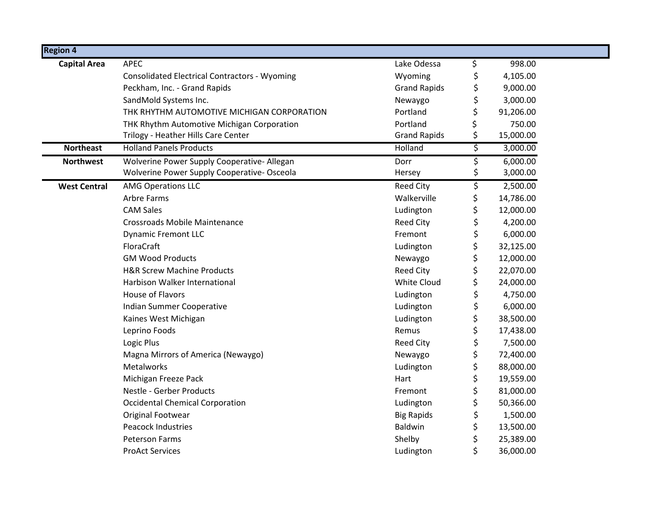| <b>Region 4</b>     |                                                      |                     |                 |
|---------------------|------------------------------------------------------|---------------------|-----------------|
| <b>Capital Area</b> | <b>APEC</b>                                          | Lake Odessa         | \$<br>998.00    |
|                     | <b>Consolidated Electrical Contractors - Wyoming</b> | Wyoming             | \$<br>4,105.00  |
|                     | Peckham, Inc. - Grand Rapids                         | <b>Grand Rapids</b> | \$<br>9,000.00  |
|                     | SandMold Systems Inc.                                | Newaygo             | \$<br>3,000.00  |
|                     | THK RHYTHM AUTOMOTIVE MICHIGAN CORPORATION           | Portland            | \$<br>91,206.00 |
|                     | THK Rhythm Automotive Michigan Corporation           | Portland            | \$<br>750.00    |
|                     | Trilogy - Heather Hills Care Center                  | <b>Grand Rapids</b> | \$<br>15,000.00 |
| <b>Northeast</b>    | <b>Holland Panels Products</b>                       | Holland             | \$<br>3,000.00  |
| <b>Northwest</b>    | Wolverine Power Supply Cooperative- Allegan          | Dorr                | \$<br>6,000.00  |
|                     | Wolverine Power Supply Cooperative- Osceola          | Hersey              | \$<br>3,000.00  |
| <b>West Central</b> | <b>AMG Operations LLC</b>                            | <b>Reed City</b>    | \$<br>2,500.00  |
|                     | Arbre Farms                                          | Walkerville         | \$<br>14,786.00 |
|                     | <b>CAM Sales</b>                                     | Ludington           | \$<br>12,000.00 |
|                     | <b>Crossroads Mobile Maintenance</b>                 | <b>Reed City</b>    | \$<br>4,200.00  |
|                     | <b>Dynamic Fremont LLC</b>                           | Fremont             | \$<br>6,000.00  |
|                     | FloraCraft                                           | Ludington           | \$<br>32,125.00 |
|                     | <b>GM Wood Products</b>                              | Newaygo             | \$<br>12,000.00 |
|                     | <b>H&amp;R Screw Machine Products</b>                | <b>Reed City</b>    | \$<br>22,070.00 |
|                     | Harbison Walker International                        | White Cloud         | \$<br>24,000.00 |
|                     | <b>House of Flavors</b>                              | Ludington           | \$<br>4,750.00  |
|                     | Indian Summer Cooperative                            | Ludington           | \$<br>6,000.00  |
|                     | Kaines West Michigan                                 | Ludington           | \$<br>38,500.00 |
|                     | Leprino Foods                                        | Remus               | \$<br>17,438.00 |
|                     | Logic Plus                                           | <b>Reed City</b>    | \$<br>7,500.00  |
|                     | Magna Mirrors of America (Newaygo)                   | Newaygo             | \$<br>72,400.00 |
|                     | Metalworks                                           | Ludington           | \$<br>88,000.00 |
|                     | Michigan Freeze Pack                                 | Hart                | \$<br>19,559.00 |
|                     | Nestle - Gerber Products                             | Fremont             | \$<br>81,000.00 |
|                     | <b>Occidental Chemical Corporation</b>               | Ludington           | \$<br>50,366.00 |
|                     | Original Footwear                                    | <b>Big Rapids</b>   | \$<br>1,500.00  |
|                     | <b>Peacock Industries</b>                            | Baldwin             | \$<br>13,500.00 |
|                     | <b>Peterson Farms</b>                                | Shelby              | \$<br>25,389.00 |
|                     | <b>ProAct Services</b>                               | Ludington           | \$<br>36,000.00 |
|                     |                                                      |                     |                 |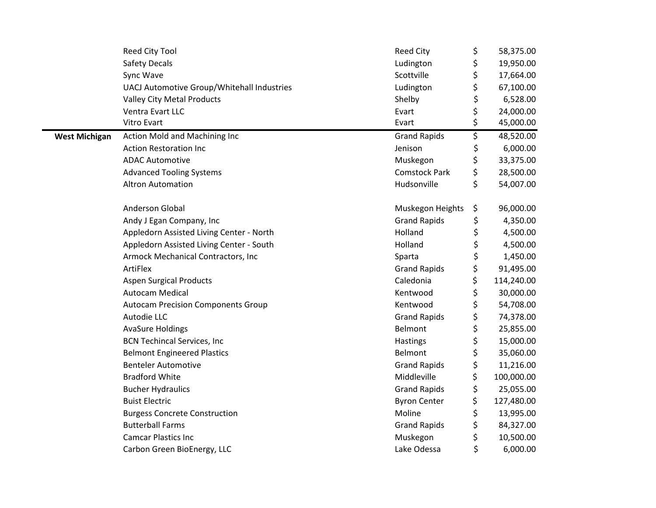|                      | Reed City Tool                             | <b>Reed City</b>     | \$<br>58,375.00  |
|----------------------|--------------------------------------------|----------------------|------------------|
|                      | <b>Safety Decals</b>                       | Ludington            | \$<br>19,950.00  |
|                      | Sync Wave                                  | Scottville           | \$<br>17,664.00  |
|                      | UACJ Automotive Group/Whitehall Industries | Ludington            | \$<br>67,100.00  |
|                      | <b>Valley City Metal Products</b>          | Shelby               | \$<br>6,528.00   |
|                      | Ventra Evart LLC                           | Evart                | \$<br>24,000.00  |
|                      | Vitro Evart                                | Evart                | \$<br>45,000.00  |
| <b>West Michigan</b> | Action Mold and Machining Inc              | <b>Grand Rapids</b>  | \$<br>48,520.00  |
|                      | <b>Action Restoration Inc</b>              | Jenison              | \$<br>6,000.00   |
|                      | <b>ADAC Automotive</b>                     | Muskegon             | \$<br>33,375.00  |
|                      | <b>Advanced Tooling Systems</b>            | <b>Comstock Park</b> | \$<br>28,500.00  |
|                      | <b>Altron Automation</b>                   | Hudsonville          | \$<br>54,007.00  |
|                      |                                            |                      |                  |
|                      | <b>Anderson Global</b>                     | Muskegon Heights     | \$<br>96,000.00  |
|                      | Andy J Egan Company, Inc                   | <b>Grand Rapids</b>  | \$<br>4,350.00   |
|                      | Appledorn Assisted Living Center - North   | Holland              | \$<br>4,500.00   |
|                      | Appledorn Assisted Living Center - South   | Holland              | \$<br>4,500.00   |
|                      | Armock Mechanical Contractors, Inc         | Sparta               | \$<br>1,450.00   |
|                      | ArtiFlex                                   | <b>Grand Rapids</b>  | \$<br>91,495.00  |
|                      | <b>Aspen Surgical Products</b>             | Caledonia            | \$<br>114,240.00 |
|                      | <b>Autocam Medical</b>                     | Kentwood             | \$<br>30,000.00  |
|                      | <b>Autocam Precision Components Group</b>  | Kentwood             | \$<br>54,708.00  |
|                      | Autodie LLC                                | <b>Grand Rapids</b>  | \$<br>74,378.00  |
|                      | <b>AvaSure Holdings</b>                    | Belmont              | \$<br>25,855.00  |
|                      | <b>BCN Techincal Services, Inc</b>         | Hastings             | \$<br>15,000.00  |
|                      | <b>Belmont Engineered Plastics</b>         | Belmont              | \$<br>35,060.00  |
|                      | <b>Benteler Automotive</b>                 | <b>Grand Rapids</b>  | \$<br>11,216.00  |
|                      | <b>Bradford White</b>                      | Middleville          | \$<br>100,000.00 |
|                      | <b>Bucher Hydraulics</b>                   | <b>Grand Rapids</b>  | \$<br>25,055.00  |
|                      | <b>Buist Electric</b>                      | <b>Byron Center</b>  | \$<br>127,480.00 |
|                      | <b>Burgess Concrete Construction</b>       | Moline               | \$<br>13,995.00  |
|                      | <b>Butterball Farms</b>                    | <b>Grand Rapids</b>  | \$<br>84,327.00  |
|                      | <b>Camcar Plastics Inc</b>                 | Muskegon             | \$<br>10,500.00  |
|                      | Carbon Green BioEnergy, LLC                | Lake Odessa          | \$<br>6,000.00   |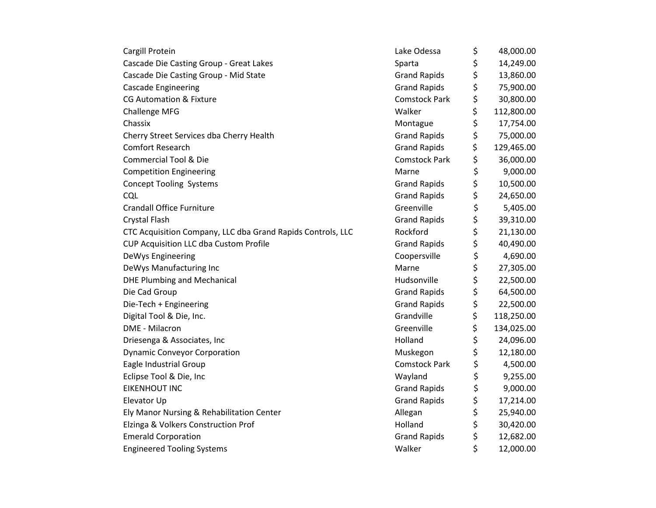| Cascade Die Casting Group - Great Lakes<br>Cascade Die Casting Group - Mid State<br><b>Cascade Engineering</b><br><b>CG Automation &amp; Fixture</b> | Sparta<br><b>Grand Rapids</b><br><b>Grand Rapids</b><br><b>Comstock Park</b><br>Walker<br>Montague | \$<br>\$<br>\$<br>\$ | 14,249.00<br>13,860.00<br>75,900.00<br>30,800.00 |
|------------------------------------------------------------------------------------------------------------------------------------------------------|----------------------------------------------------------------------------------------------------|----------------------|--------------------------------------------------|
|                                                                                                                                                      |                                                                                                    |                      |                                                  |
|                                                                                                                                                      |                                                                                                    |                      |                                                  |
|                                                                                                                                                      |                                                                                                    |                      |                                                  |
|                                                                                                                                                      |                                                                                                    |                      |                                                  |
| <b>Challenge MFG</b>                                                                                                                                 |                                                                                                    | \$                   | 112,800.00                                       |
| Chassix                                                                                                                                              |                                                                                                    | \$                   | 17,754.00                                        |
| Cherry Street Services dba Cherry Health                                                                                                             | <b>Grand Rapids</b>                                                                                | \$                   | 75,000.00                                        |
| <b>Comfort Research</b>                                                                                                                              | <b>Grand Rapids</b>                                                                                | \$                   | 129,465.00                                       |
| <b>Commercial Tool &amp; Die</b>                                                                                                                     | <b>Comstock Park</b>                                                                               | \$                   | 36,000.00                                        |
| <b>Competition Engineering</b>                                                                                                                       | Marne                                                                                              | \$                   | 9,000.00                                         |
| <b>Concept Tooling Systems</b>                                                                                                                       | <b>Grand Rapids</b>                                                                                | \$                   | 10,500.00                                        |
| <b>CQL</b>                                                                                                                                           | <b>Grand Rapids</b>                                                                                | \$                   | 24,650.00                                        |
| <b>Crandall Office Furniture</b>                                                                                                                     | Greenville                                                                                         | \$                   | 5,405.00                                         |
| <b>Crystal Flash</b>                                                                                                                                 | <b>Grand Rapids</b>                                                                                | \$                   | 39,310.00                                        |
| CTC Acquisition Company, LLC dba Grand Rapids Controls, LLC                                                                                          | Rockford                                                                                           | \$                   | 21,130.00                                        |
| CUP Acquisition LLC dba Custom Profile                                                                                                               | <b>Grand Rapids</b>                                                                                | \$                   | 40,490.00                                        |
| DeWys Engineering                                                                                                                                    | Coopersville                                                                                       | \$                   | 4,690.00                                         |
| DeWys Manufacturing Inc                                                                                                                              | Marne                                                                                              | \$                   | 27,305.00                                        |
| <b>DHE Plumbing and Mechanical</b>                                                                                                                   | Hudsonville                                                                                        | \$                   | 22,500.00                                        |
| Die Cad Group                                                                                                                                        | <b>Grand Rapids</b>                                                                                | \$                   | 64,500.00                                        |
| Die-Tech + Engineering                                                                                                                               | <b>Grand Rapids</b>                                                                                | \$                   | 22,500.00                                        |
| Digital Tool & Die, Inc.                                                                                                                             | Grandville                                                                                         | \$                   | 118,250.00                                       |
| DME - Milacron                                                                                                                                       | Greenville                                                                                         | \$                   | 134,025.00                                       |
| Driesenga & Associates, Inc                                                                                                                          | Holland                                                                                            | \$                   | 24,096.00                                        |
| <b>Dynamic Conveyor Corporation</b>                                                                                                                  | Muskegon                                                                                           | \$                   | 12,180.00                                        |
| Eagle Industrial Group                                                                                                                               | <b>Comstock Park</b>                                                                               | \$                   | 4,500.00                                         |
| Eclipse Tool & Die, Inc                                                                                                                              | Wayland                                                                                            | \$                   | 9,255.00                                         |
| <b>EIKENHOUT INC</b>                                                                                                                                 | <b>Grand Rapids</b>                                                                                | \$                   | 9,000.00                                         |
| Elevator Up                                                                                                                                          | <b>Grand Rapids</b>                                                                                | \$                   | 17,214.00                                        |
| Ely Manor Nursing & Rehabilitation Center                                                                                                            | Allegan                                                                                            | \$                   | 25,940.00                                        |
| Elzinga & Volkers Construction Prof                                                                                                                  | Holland                                                                                            | \$                   | 30,420.00                                        |
| <b>Emerald Corporation</b>                                                                                                                           | <b>Grand Rapids</b>                                                                                | \$                   | 12,682.00                                        |
| <b>Engineered Tooling Systems</b>                                                                                                                    | Walker                                                                                             | \$                   | 12,000.00                                        |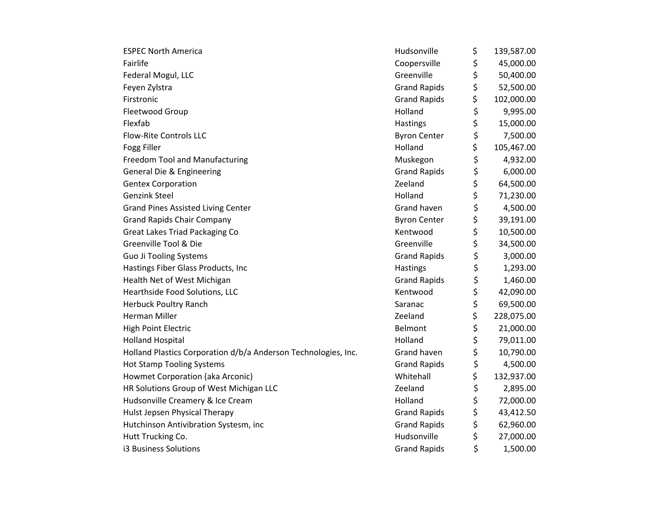| <b>ESPEC North America</b>                                     | Hudsonville         | \$<br>139,587.00 |
|----------------------------------------------------------------|---------------------|------------------|
| Fairlife                                                       | Coopersville        | \$<br>45,000.00  |
| Federal Mogul, LLC                                             | Greenville          | \$<br>50,400.00  |
| Feyen Zylstra                                                  | <b>Grand Rapids</b> | \$<br>52,500.00  |
| Firstronic                                                     | <b>Grand Rapids</b> | \$<br>102,000.00 |
| Fleetwood Group                                                | Holland             | \$<br>9,995.00   |
| Flexfab                                                        | Hastings            | \$<br>15,000.00  |
| <b>Flow-Rite Controls LLC</b>                                  | <b>Byron Center</b> | \$<br>7,500.00   |
| Fogg Filler                                                    | Holland             | \$<br>105,467.00 |
| <b>Freedom Tool and Manufacturing</b>                          | Muskegon            | \$<br>4,932.00   |
| General Die & Engineering                                      | <b>Grand Rapids</b> | \$<br>6,000.00   |
| <b>Gentex Corporation</b>                                      | Zeeland             | \$<br>64,500.00  |
| <b>Genzink Steel</b>                                           | Holland             | \$<br>71,230.00  |
| <b>Grand Pines Assisted Living Center</b>                      | Grand haven         | \$<br>4,500.00   |
| <b>Grand Rapids Chair Company</b>                              | <b>Byron Center</b> | \$<br>39,191.00  |
| <b>Great Lakes Triad Packaging Co</b>                          | Kentwood            | \$<br>10,500.00  |
| Greenville Tool & Die                                          | Greenville          | \$<br>34,500.00  |
| <b>Guo Ji Tooling Systems</b>                                  | <b>Grand Rapids</b> | \$<br>3,000.00   |
| Hastings Fiber Glass Products, Inc                             | Hastings            | \$<br>1,293.00   |
| Health Net of West Michigan                                    | <b>Grand Rapids</b> | \$<br>1,460.00   |
| Hearthside Food Solutions, LLC                                 | Kentwood            | \$<br>42,090.00  |
| <b>Herbuck Poultry Ranch</b>                                   | Saranac             | \$<br>69,500.00  |
| <b>Herman Miller</b>                                           | Zeeland             | \$<br>228,075.00 |
| High Point Electric                                            | Belmont             | \$<br>21,000.00  |
| <b>Holland Hospital</b>                                        | Holland             | \$<br>79,011.00  |
| Holland Plastics Corporation d/b/a Anderson Technologies, Inc. | Grand haven         | \$<br>10,790.00  |
| <b>Hot Stamp Tooling Systems</b>                               | <b>Grand Rapids</b> | \$<br>4,500.00   |
| Howmet Corporation (aka Arconic)                               | Whitehall           | \$<br>132,937.00 |
| HR Solutions Group of West Michigan LLC                        | Zeeland             | \$<br>2,895.00   |
| Hudsonville Creamery & Ice Cream                               | Holland             | \$<br>72,000.00  |
| Hulst Jepsen Physical Therapy                                  | <b>Grand Rapids</b> | \$<br>43,412.50  |
| Hutchinson Antivibration Systesm, inc                          | <b>Grand Rapids</b> | \$<br>62,960.00  |
| Hutt Trucking Co.                                              | Hudsonville         | \$<br>27,000.00  |
| i3 Business Solutions                                          | <b>Grand Rapids</b> | \$<br>1,500.00   |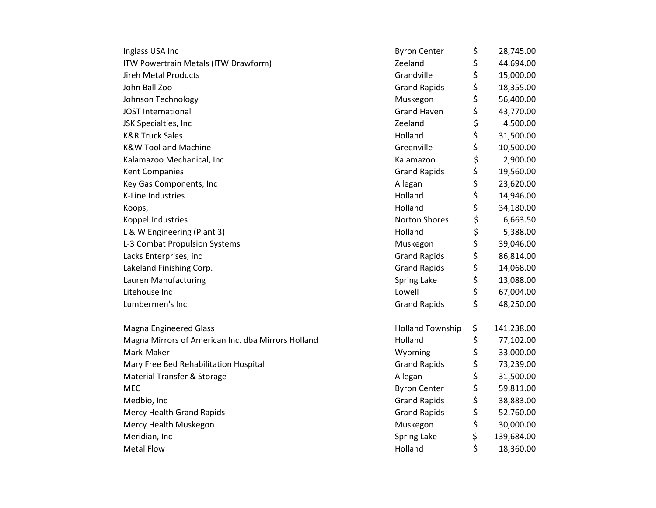| Inglass USA Inc                                    | <b>Byron Center</b>     | \$<br>28,745.00  |
|----------------------------------------------------|-------------------------|------------------|
| ITW Powertrain Metals (ITW Drawform)               | Zeeland                 | \$<br>44,694.00  |
| Jireh Metal Products                               | Grandville              | \$<br>15,000.00  |
| John Ball Zoo                                      | <b>Grand Rapids</b>     | \$<br>18,355.00  |
| Johnson Technology                                 | Muskegon                | \$<br>56,400.00  |
| <b>JOST International</b>                          | <b>Grand Haven</b>      | \$<br>43,770.00  |
| JSK Specialties, Inc                               | Zeeland                 | \$<br>4,500.00   |
| <b>K&amp;R Truck Sales</b>                         | Holland                 | \$<br>31,500.00  |
| <b>K&amp;W Tool and Machine</b>                    | Greenville              | \$<br>10,500.00  |
| Kalamazoo Mechanical, Inc                          | Kalamazoo               | \$<br>2,900.00   |
| Kent Companies                                     | <b>Grand Rapids</b>     | \$<br>19,560.00  |
| Key Gas Components, Inc                            | Allegan                 | \$<br>23,620.00  |
| K-Line Industries                                  | Holland                 | \$<br>14,946.00  |
| Koops,                                             | Holland                 | \$<br>34,180.00  |
| Koppel Industries                                  | <b>Norton Shores</b>    | \$<br>6,663.50   |
| L & W Engineering (Plant 3)                        | Holland                 | \$<br>5,388.00   |
| L-3 Combat Propulsion Systems                      | Muskegon                | \$<br>39,046.00  |
| Lacks Enterprises, inc                             | <b>Grand Rapids</b>     | \$<br>86,814.00  |
| Lakeland Finishing Corp.                           | <b>Grand Rapids</b>     | \$<br>14,068.00  |
| Lauren Manufacturing                               | Spring Lake             | \$<br>13,088.00  |
| Litehouse Inc                                      | Lowell                  | \$<br>67,004.00  |
| Lumbermen's Inc                                    | <b>Grand Rapids</b>     | \$<br>48,250.00  |
| <b>Magna Engineered Glass</b>                      | <b>Holland Township</b> | \$<br>141,238.00 |
| Magna Mirrors of American Inc. dba Mirrors Holland | Holland                 | \$<br>77,102.00  |
| Mark-Maker                                         | Wyoming                 | \$<br>33,000.00  |
| Mary Free Bed Rehabilitation Hospital              | <b>Grand Rapids</b>     | \$<br>73,239.00  |
| <b>Material Transfer &amp; Storage</b>             | Allegan                 | \$<br>31,500.00  |
| <b>MEC</b>                                         | <b>Byron Center</b>     | \$<br>59,811.00  |
| Medbio, Inc                                        | <b>Grand Rapids</b>     | \$<br>38,883.00  |
| Mercy Health Grand Rapids                          | <b>Grand Rapids</b>     | \$<br>52,760.00  |
| Mercy Health Muskegon                              | Muskegon                | \$<br>30,000.00  |
| Meridian, Inc                                      | Spring Lake             | \$<br>139,684.00 |
| <b>Metal Flow</b>                                  | Holland                 | \$<br>18,360.00  |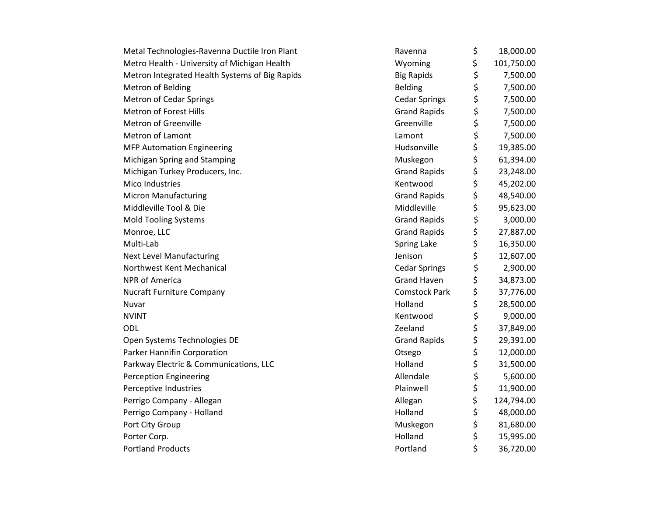| Metal Technologies-Ravenna Ductile Iron Plant  | Ravenna              | \$<br>18,000.00  |
|------------------------------------------------|----------------------|------------------|
| Metro Health - University of Michigan Health   | Wyoming              | \$<br>101,750.00 |
| Metron Integrated Health Systems of Big Rapids | <b>Big Rapids</b>    | \$<br>7,500.00   |
| Metron of Belding                              | <b>Belding</b>       | \$<br>7,500.00   |
| <b>Metron of Cedar Springs</b>                 | <b>Cedar Springs</b> | \$<br>7,500.00   |
| Metron of Forest Hills                         | <b>Grand Rapids</b>  | \$<br>7,500.00   |
| Metron of Greenville                           | Greenville           | \$<br>7,500.00   |
| <b>Metron of Lamont</b>                        | Lamont               | \$<br>7,500.00   |
| <b>MFP Automation Engineering</b>              | Hudsonville          | \$<br>19,385.00  |
| Michigan Spring and Stamping                   | Muskegon             | \$<br>61,394.00  |
| Michigan Turkey Producers, Inc.                | <b>Grand Rapids</b>  | \$<br>23,248.00  |
| Mico Industries                                | Kentwood             | \$<br>45,202.00  |
| <b>Micron Manufacturing</b>                    | <b>Grand Rapids</b>  | \$<br>48,540.00  |
| Middleville Tool & Die                         | Middleville          | \$<br>95,623.00  |
| <b>Mold Tooling Systems</b>                    | <b>Grand Rapids</b>  | \$<br>3,000.00   |
| Monroe, LLC                                    | <b>Grand Rapids</b>  | \$<br>27,887.00  |
| Multi-Lab                                      | Spring Lake          | \$<br>16,350.00  |
| <b>Next Level Manufacturing</b>                | Jenison              | \$<br>12,607.00  |
| Northwest Kent Mechanical                      | <b>Cedar Springs</b> | \$<br>2,900.00   |
| <b>NPR of America</b>                          | <b>Grand Haven</b>   | \$<br>34,873.00  |
| <b>Nucraft Furniture Company</b>               | <b>Comstock Park</b> | \$<br>37,776.00  |
| Nuvar                                          | Holland              | \$<br>28,500.00  |
| <b>NVINT</b>                                   | Kentwood             | \$<br>9,000.00   |
| ODL                                            | Zeeland              | \$<br>37,849.00  |
| Open Systems Technologies DE                   | <b>Grand Rapids</b>  | \$<br>29,391.00  |
| Parker Hannifin Corporation                    | Otsego               | \$<br>12,000.00  |
| Parkway Electric & Communications, LLC         | Holland              | \$<br>31,500.00  |
| <b>Perception Engineering</b>                  | Allendale            | \$<br>5,600.00   |
| Perceptive Industries                          | Plainwell            | \$<br>11,900.00  |
| Perrigo Company - Allegan                      | Allegan              | \$<br>124,794.00 |
| Perrigo Company - Holland                      | Holland              | \$<br>48,000.00  |
| Port City Group                                | Muskegon             | \$<br>81,680.00  |
| Porter Corp.                                   | Holland              | \$<br>15,995.00  |
| <b>Portland Products</b>                       | Portland             | \$<br>36,720.00  |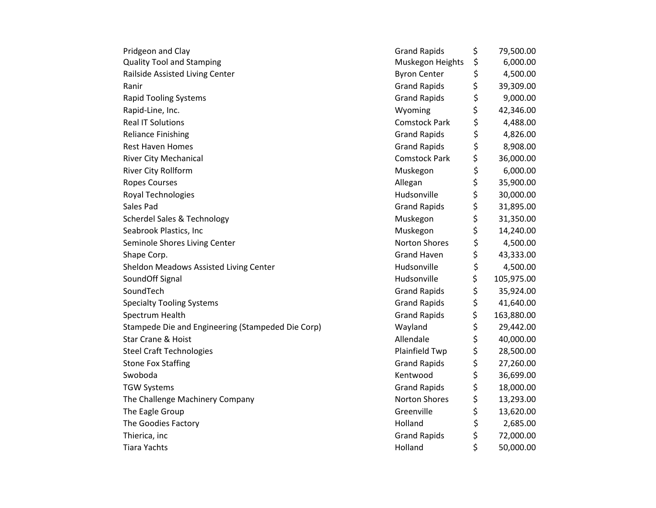| Pridgeon and Clay                                 | <b>Grand Rapids</b>  | \$<br>79,500.00  |
|---------------------------------------------------|----------------------|------------------|
| <b>Quality Tool and Stamping</b>                  | Muskegon Heights     | \$<br>6,000.00   |
| Railside Assisted Living Center                   | <b>Byron Center</b>  | \$<br>4,500.00   |
| Ranir                                             | <b>Grand Rapids</b>  | \$<br>39,309.00  |
| <b>Rapid Tooling Systems</b>                      | <b>Grand Rapids</b>  | \$<br>9,000.00   |
| Rapid-Line, Inc.                                  | Wyoming              | \$<br>42,346.00  |
| <b>Real IT Solutions</b>                          | <b>Comstock Park</b> | \$<br>4,488.00   |
| <b>Reliance Finishing</b>                         | <b>Grand Rapids</b>  | \$<br>4,826.00   |
| <b>Rest Haven Homes</b>                           | <b>Grand Rapids</b>  | \$<br>8,908.00   |
| <b>River City Mechanical</b>                      | <b>Comstock Park</b> | \$<br>36,000.00  |
| River City Rollform                               | Muskegon             | \$<br>6,000.00   |
| <b>Ropes Courses</b>                              | Allegan              | \$<br>35,900.00  |
| Royal Technologies                                | Hudsonville          | \$<br>30,000.00  |
| Sales Pad                                         | <b>Grand Rapids</b>  | \$<br>31,895.00  |
| <b>Scherdel Sales &amp; Technology</b>            | Muskegon             | \$<br>31,350.00  |
| Seabrook Plastics, Inc                            | Muskegon             | \$<br>14,240.00  |
| Seminole Shores Living Center                     | <b>Norton Shores</b> | \$<br>4,500.00   |
| Shape Corp.                                       | <b>Grand Haven</b>   | \$<br>43,333.00  |
| Sheldon Meadows Assisted Living Center            | Hudsonville          | \$<br>4,500.00   |
| SoundOff Signal                                   | Hudsonville          | \$<br>105,975.00 |
| SoundTech                                         | <b>Grand Rapids</b>  | \$<br>35,924.00  |
| <b>Specialty Tooling Systems</b>                  | <b>Grand Rapids</b>  | \$<br>41,640.00  |
| Spectrum Health                                   | <b>Grand Rapids</b>  | \$<br>163,880.00 |
| Stampede Die and Engineering (Stampeded Die Corp) | Wayland              | \$<br>29,442.00  |
| <b>Star Crane &amp; Hoist</b>                     | Allendale            | \$<br>40,000.00  |
| <b>Steel Craft Technologies</b>                   | Plainfield Twp       | \$<br>28,500.00  |
| <b>Stone Fox Staffing</b>                         | <b>Grand Rapids</b>  | \$<br>27,260.00  |
| Swoboda                                           | Kentwood             | \$<br>36,699.00  |
| <b>TGW Systems</b>                                | <b>Grand Rapids</b>  | \$<br>18,000.00  |
| The Challenge Machinery Company                   | <b>Norton Shores</b> | \$<br>13,293.00  |
| The Eagle Group                                   | Greenville           | \$<br>13,620.00  |
| The Goodies Factory                               | Holland              | \$<br>2,685.00   |
| Thierica, inc                                     | <b>Grand Rapids</b>  | \$<br>72,000.00  |
| <b>Tiara Yachts</b>                               | Holland              | \$<br>50,000.00  |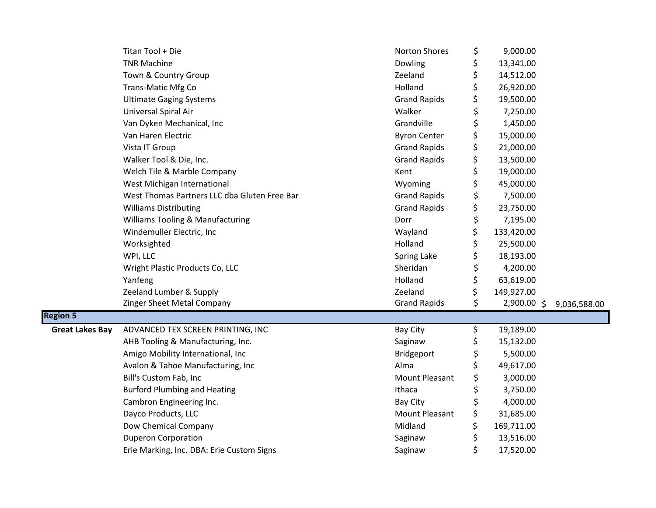|                        | Titan Tool + Die                             | Norton Shores         | \$<br>9,000.00    |              |
|------------------------|----------------------------------------------|-----------------------|-------------------|--------------|
|                        | <b>TNR Machine</b>                           | Dowling               | \$<br>13,341.00   |              |
|                        | Town & Country Group                         | Zeeland               | \$<br>14,512.00   |              |
|                        | <b>Trans-Matic Mfg Co</b>                    | Holland               | \$<br>26,920.00   |              |
|                        | <b>Ultimate Gaging Systems</b>               | <b>Grand Rapids</b>   | \$<br>19,500.00   |              |
|                        | Universal Spiral Air                         | Walker                | \$<br>7,250.00    |              |
|                        | Van Dyken Mechanical, Inc                    | Grandville            | \$<br>1,450.00    |              |
|                        | Van Haren Electric                           | <b>Byron Center</b>   | \$<br>15,000.00   |              |
|                        | Vista IT Group                               | <b>Grand Rapids</b>   | \$<br>21,000.00   |              |
|                        | Walker Tool & Die, Inc.                      | <b>Grand Rapids</b>   | \$<br>13,500.00   |              |
|                        | Welch Tile & Marble Company                  | Kent                  | \$<br>19,000.00   |              |
|                        | West Michigan International                  | Wyoming               | \$<br>45,000.00   |              |
|                        | West Thomas Partners LLC dba Gluten Free Bar | <b>Grand Rapids</b>   | \$<br>7,500.00    |              |
|                        | <b>Williams Distributing</b>                 | <b>Grand Rapids</b>   | \$<br>23,750.00   |              |
|                        | <b>Williams Tooling &amp; Manufacturing</b>  | Dorr                  | \$<br>7,195.00    |              |
|                        | Windemuller Electric, Inc                    | Wayland               | \$<br>133,420.00  |              |
|                        | Worksighted                                  | Holland               | \$<br>25,500.00   |              |
|                        | WPI, LLC                                     | Spring Lake           | \$<br>18,193.00   |              |
|                        | Wright Plastic Products Co, LLC              | Sheridan              | \$<br>4,200.00    |              |
|                        | Yanfeng                                      | Holland               | \$<br>63,619.00   |              |
|                        | Zeeland Lumber & Supply                      | Zeeland               | \$<br>149,927.00  |              |
|                        | Zinger Sheet Metal Company                   | <b>Grand Rapids</b>   | \$<br>2,900.00 \$ | 9,036,588.00 |
| <b>Region 5</b>        |                                              |                       |                   |              |
| <b>Great Lakes Bay</b> | ADVANCED TEX SCREEN PRINTING, INC            | <b>Bay City</b>       | \$<br>19,189.00   |              |
|                        | AHB Tooling & Manufacturing, Inc.            | Saginaw               | \$<br>15,132.00   |              |
|                        | Amigo Mobility International, Inc            | Bridgeport            | \$<br>5,500.00    |              |
|                        | Avalon & Tahoe Manufacturing, Inc            | Alma                  | 49,617.00         |              |
|                        | Bill's Custom Fab, Inc                       | <b>Mount Pleasant</b> | \$<br>3,000.00    |              |
|                        | <b>Burford Plumbing and Heating</b>          | Ithaca                | \$<br>3,750.00    |              |
|                        | Cambron Engineering Inc.                     | Bay City              | \$<br>4,000.00    |              |
|                        | Dayco Products, LLC                          | <b>Mount Pleasant</b> | \$<br>31,685.00   |              |
|                        | Dow Chemical Company                         | Midland               | \$<br>169,711.00  |              |
|                        | <b>Duperon Corporation</b>                   | Saginaw               | \$<br>13,516.00   |              |
|                        | Erie Marking, Inc. DBA: Erie Custom Signs    | Saginaw               | \$<br>17,520.00   |              |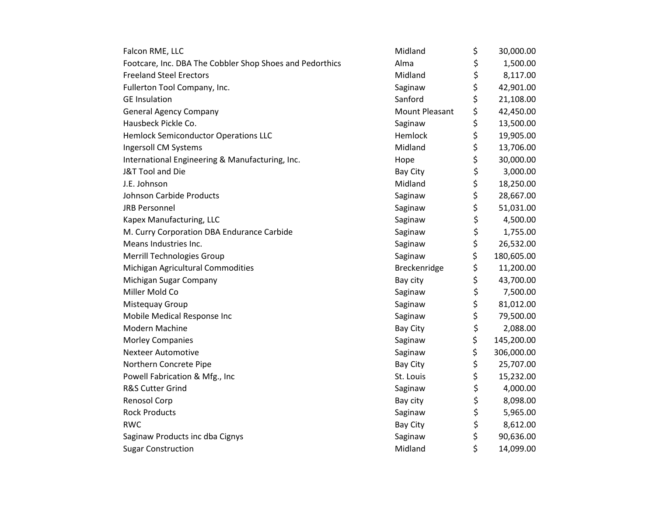| Falcon RME, LLC                                          | Midland               | \$<br>30,000.00  |
|----------------------------------------------------------|-----------------------|------------------|
| Footcare, Inc. DBA The Cobbler Shop Shoes and Pedorthics | Alma                  | \$<br>1,500.00   |
| <b>Freeland Steel Erectors</b>                           | Midland               | \$<br>8,117.00   |
| Fullerton Tool Company, Inc.                             | Saginaw               | \$<br>42,901.00  |
| <b>GE Insulation</b>                                     | Sanford               | \$<br>21,108.00  |
| <b>General Agency Company</b>                            | <b>Mount Pleasant</b> | \$<br>42,450.00  |
| Hausbeck Pickle Co.                                      | Saginaw               | \$<br>13,500.00  |
| <b>Hemlock Semiconductor Operations LLC</b>              | Hemlock               | \$<br>19,905.00  |
| Ingersoll CM Systems                                     | Midland               | \$<br>13,706.00  |
| International Engineering & Manufacturing, Inc.          | Hope                  | \$<br>30,000.00  |
| J&T Tool and Die                                         | <b>Bay City</b>       | \$<br>3,000.00   |
| J.E. Johnson                                             | Midland               | \$<br>18,250.00  |
| Johnson Carbide Products                                 | Saginaw               | \$<br>28,667.00  |
| <b>JRB Personnel</b>                                     | Saginaw               | \$<br>51,031.00  |
| Kapex Manufacturing, LLC                                 | Saginaw               | \$<br>4,500.00   |
| M. Curry Corporation DBA Endurance Carbide               | Saginaw               | \$<br>1,755.00   |
| Means Industries Inc.                                    | Saginaw               | \$<br>26,532.00  |
| Merrill Technologies Group                               | Saginaw               | \$<br>180,605.00 |
| Michigan Agricultural Commodities                        | Breckenridge          | \$<br>11,200.00  |
| Michigan Sugar Company                                   | Bay city              | \$<br>43,700.00  |
| Miller Mold Co                                           | Saginaw               | \$<br>7,500.00   |
| Mistequay Group                                          | Saginaw               | \$<br>81,012.00  |
| Mobile Medical Response Inc                              | Saginaw               | \$<br>79,500.00  |
| Modern Machine                                           | <b>Bay City</b>       | \$<br>2,088.00   |
| <b>Morley Companies</b>                                  | Saginaw               | \$<br>145,200.00 |
| <b>Nexteer Automotive</b>                                | Saginaw               | \$<br>306,000.00 |
| Northern Concrete Pipe                                   | <b>Bay City</b>       | \$<br>25,707.00  |
| Powell Fabrication & Mfg., Inc                           | St. Louis             | \$<br>15,232.00  |
| R&S Cutter Grind                                         | Saginaw               | \$<br>4,000.00   |
| Renosol Corp                                             | Bay city              | \$<br>8,098.00   |
| <b>Rock Products</b>                                     | Saginaw               | \$<br>5,965.00   |
| <b>RWC</b>                                               | <b>Bay City</b>       | \$<br>8,612.00   |
| Saginaw Products inc dba Cignys                          | Saginaw               | \$<br>90,636.00  |
| <b>Sugar Construction</b>                                | Midland               | \$<br>14,099.00  |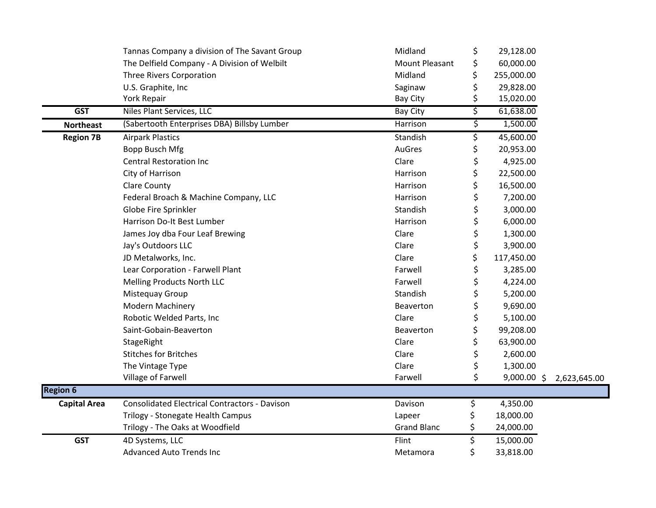|                     | Tannas Company a division of The Savant Group        | Midland               | \$<br>29,128.00     |              |
|---------------------|------------------------------------------------------|-----------------------|---------------------|--------------|
|                     | The Delfield Company - A Division of Welbilt         | <b>Mount Pleasant</b> | \$<br>60,000.00     |              |
|                     | <b>Three Rivers Corporation</b>                      | Midland               | \$<br>255,000.00    |              |
|                     | U.S. Graphite, Inc                                   | Saginaw               | \$<br>29,828.00     |              |
|                     | York Repair                                          | Bay City              | \$<br>15,020.00     |              |
| <b>GST</b>          | Niles Plant Services, LLC                            | <b>Bay City</b>       | \$<br>61,638.00     |              |
| <b>Northeast</b>    | (Sabertooth Enterprises DBA) Billsby Lumber          | <b>Harrison</b>       | \$<br>1,500.00      |              |
| <b>Region 7B</b>    | <b>Airpark Plastics</b>                              | Standish              | \$<br>45,600.00     |              |
|                     | <b>Bopp Busch Mfg</b>                                | AuGres                | \$<br>20,953.00     |              |
|                     | <b>Central Restoration Inc</b>                       | Clare                 | \$<br>4,925.00      |              |
|                     | City of Harrison                                     | Harrison              | \$<br>22,500.00     |              |
|                     | <b>Clare County</b>                                  | Harrison              | \$<br>16,500.00     |              |
|                     | Federal Broach & Machine Company, LLC                | Harrison              | \$<br>7,200.00      |              |
|                     | Globe Fire Sprinkler                                 | Standish              | \$<br>3,000.00      |              |
|                     | Harrison Do-It Best Lumber                           | Harrison              | \$<br>6,000.00      |              |
|                     | James Joy dba Four Leaf Brewing                      | Clare                 | \$<br>1,300.00      |              |
|                     | Jay's Outdoors LLC                                   | Clare                 | \$<br>3,900.00      |              |
|                     | JD Metalworks, Inc.                                  | Clare                 | \$<br>117,450.00    |              |
|                     | Lear Corporation - Farwell Plant                     | Farwell               | \$<br>3,285.00      |              |
|                     | Melling Products North LLC                           | Farwell               | \$<br>4,224.00      |              |
|                     | Mistequay Group                                      | Standish              | \$<br>5,200.00      |              |
|                     | <b>Modern Machinery</b>                              | Beaverton             | \$<br>9,690.00      |              |
|                     | Robotic Welded Parts, Inc                            | Clare                 | \$<br>5,100.00      |              |
|                     | Saint-Gobain-Beaverton                               | Beaverton             | \$<br>99,208.00     |              |
|                     | StageRight                                           | Clare                 | \$<br>63,900.00     |              |
|                     | <b>Stitches for Britches</b>                         | Clare                 | \$<br>2,600.00      |              |
|                     | The Vintage Type                                     | Clare                 | \$<br>1,300.00      |              |
|                     | Village of Farwell                                   | Farwell               | \$<br>$9,000.00$ \$ | 2,623,645.00 |
| <b>Region 6</b>     |                                                      |                       |                     |              |
| <b>Capital Area</b> | <b>Consolidated Electrical Contractors - Davison</b> | Davison               | \$<br>4,350.00      |              |
|                     | Trilogy - Stonegate Health Campus                    | Lapeer                | 18,000.00           |              |
|                     | Trilogy - The Oaks at Woodfield                      | <b>Grand Blanc</b>    | \$<br>24,000.00     |              |
| <b>GST</b>          | 4D Systems, LLC                                      | Flint                 | \$<br>15,000.00     |              |
|                     | <b>Advanced Auto Trends Inc</b>                      | Metamora              | \$<br>33,818.00     |              |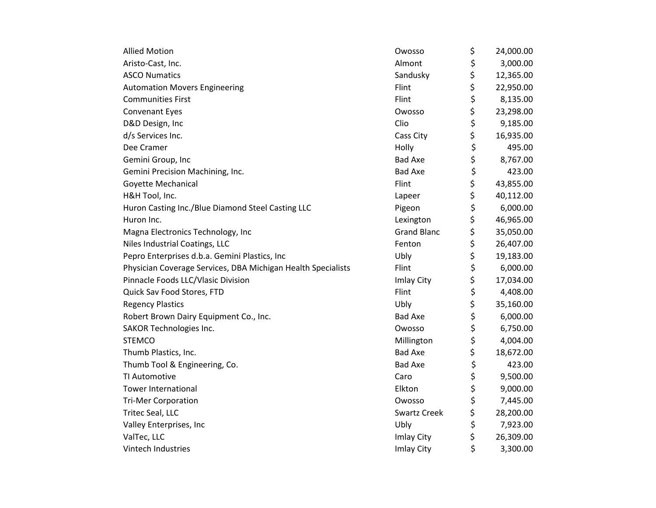| <b>Allied Motion</b>                                         | Owosso              | \$<br>24,000.00 |
|--------------------------------------------------------------|---------------------|-----------------|
| Aristo-Cast, Inc.                                            | Almont              | \$<br>3,000.00  |
| <b>ASCO Numatics</b>                                         | Sandusky            | \$<br>12,365.00 |
| <b>Automation Movers Engineering</b>                         | Flint               | \$<br>22,950.00 |
| <b>Communities First</b>                                     | Flint               | \$<br>8,135.00  |
| <b>Convenant Eyes</b>                                        | Owosso              | \$<br>23,298.00 |
| D&D Design, Inc                                              | Clio                | \$<br>9,185.00  |
| d/s Services Inc.                                            | Cass City           | \$<br>16,935.00 |
| Dee Cramer                                                   | Holly               | \$<br>495.00    |
| Gemini Group, Inc                                            | <b>Bad Axe</b>      | \$<br>8,767.00  |
| Gemini Precision Machining, Inc.                             | <b>Bad Axe</b>      | \$<br>423.00    |
| Goyette Mechanical                                           | Flint               | \$<br>43,855.00 |
| H&H Tool, Inc.                                               | Lapeer              | \$<br>40,112.00 |
| Huron Casting Inc./Blue Diamond Steel Casting LLC            | Pigeon              | \$<br>6,000.00  |
| Huron Inc.                                                   | Lexington           | \$<br>46,965.00 |
| Magna Electronics Technology, Inc                            | <b>Grand Blanc</b>  | \$<br>35,050.00 |
| Niles Industrial Coatings, LLC                               | Fenton              | \$<br>26,407.00 |
| Pepro Enterprises d.b.a. Gemini Plastics, Inc                | Ubly                | \$<br>19,183.00 |
| Physician Coverage Services, DBA Michigan Health Specialists | Flint               | \$<br>6,000.00  |
| Pinnacle Foods LLC/Vlasic Division                           | Imlay City          | \$<br>17,034.00 |
| Quick Sav Food Stores, FTD                                   | Flint               | \$<br>4,408.00  |
| <b>Regency Plastics</b>                                      | Ubly                | \$<br>35,160.00 |
| Robert Brown Dairy Equipment Co., Inc.                       | <b>Bad Axe</b>      | \$<br>6,000.00  |
| SAKOR Technologies Inc.                                      | Owosso              | \$<br>6,750.00  |
| <b>STEMCO</b>                                                | Millington          | \$<br>4,004.00  |
| Thumb Plastics, Inc.                                         | <b>Bad Axe</b>      | \$<br>18,672.00 |
| Thumb Tool & Engineering, Co.                                | <b>Bad Axe</b>      | \$<br>423.00    |
| TI Automotive                                                | Caro                | \$<br>9,500.00  |
| <b>Tower International</b>                                   | Elkton              | \$<br>9,000.00  |
| <b>Tri-Mer Corporation</b>                                   | Owosso              | \$<br>7,445.00  |
| Tritec Seal, LLC                                             | <b>Swartz Creek</b> | \$<br>28,200.00 |
| Valley Enterprises, Inc                                      | Ubly                | \$<br>7,923.00  |
| ValTec, LLC                                                  | Imlay City          | \$<br>26,309.00 |
| Vintech Industries                                           | Imlay City          | \$<br>3,300.00  |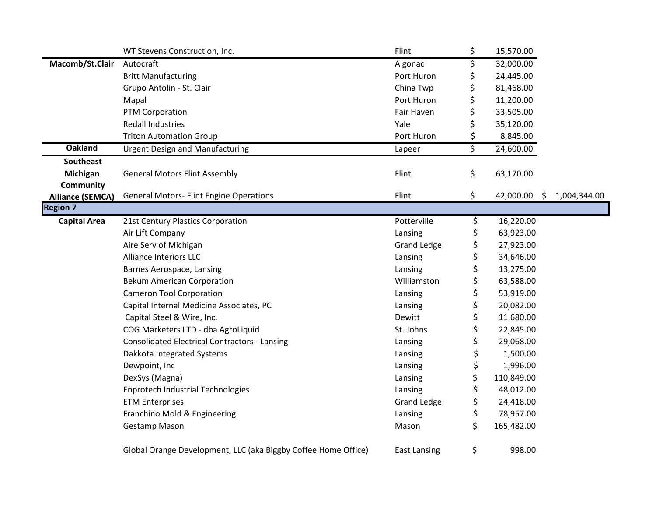|                         | WT Stevens Construction, Inc.                                  | Flint               | \$<br>15,570.00    |              |
|-------------------------|----------------------------------------------------------------|---------------------|--------------------|--------------|
| Macomb/St.Clair         | Autocraft                                                      | Algonac             | \$<br>32,000.00    |              |
|                         | <b>Britt Manufacturing</b>                                     | Port Huron          | \$<br>24,445.00    |              |
|                         | Grupo Antolin - St. Clair                                      | China Twp           | \$<br>81,468.00    |              |
|                         | Mapal                                                          | Port Huron          | \$<br>11,200.00    |              |
|                         | PTM Corporation                                                | Fair Haven          | \$<br>33,505.00    |              |
|                         | <b>Redall Industries</b>                                       | Yale                | \$<br>35,120.00    |              |
|                         | <b>Triton Automation Group</b>                                 | Port Huron          | \$<br>8,845.00     |              |
| <b>Oakland</b>          | <b>Urgent Design and Manufacturing</b>                         | Lapeer              | \$<br>24,600.00    |              |
| <b>Southeast</b>        |                                                                |                     |                    |              |
| Michigan                | <b>General Motors Flint Assembly</b>                           | Flint               | \$<br>63,170.00    |              |
| <b>Community</b>        |                                                                |                     |                    |              |
| <b>Alliance (SEMCA)</b> | <b>General Motors- Flint Engine Operations</b>                 | Flint               | \$<br>42,000.00 \$ | 1,004,344.00 |
| <b>Region 7</b>         |                                                                |                     |                    |              |
| <b>Capital Area</b>     | 21st Century Plastics Corporation                              | Potterville         | \$<br>16,220.00    |              |
|                         | Air Lift Company                                               | Lansing             | \$<br>63,923.00    |              |
|                         | Aire Serv of Michigan                                          | <b>Grand Ledge</b>  | \$<br>27,923.00    |              |
|                         | <b>Alliance Interiors LLC</b>                                  | Lansing             | \$<br>34,646.00    |              |
|                         | Barnes Aerospace, Lansing                                      | Lansing             | \$<br>13,275.00    |              |
|                         | <b>Bekum American Corporation</b>                              | Williamston         | \$<br>63,588.00    |              |
|                         | <b>Cameron Tool Corporation</b>                                | Lansing             | \$<br>53,919.00    |              |
|                         | Capital Internal Medicine Associates, PC                       | Lansing             | \$<br>20,082.00    |              |
|                         | Capital Steel & Wire, Inc.                                     | Dewitt              | \$<br>11,680.00    |              |
|                         | COG Marketers LTD - dba AgroLiquid                             | St. Johns           | \$<br>22,845.00    |              |
|                         | <b>Consolidated Electrical Contractors - Lansing</b>           | Lansing             | \$<br>29,068.00    |              |
|                         | Dakkota Integrated Systems                                     | Lansing             | \$<br>1,500.00     |              |
|                         | Dewpoint, Inc                                                  | Lansing             | \$<br>1,996.00     |              |
|                         | DexSys (Magna)                                                 | Lansing             | \$<br>110,849.00   |              |
|                         | <b>Enprotech Industrial Technologies</b>                       | Lansing             | \$<br>48,012.00    |              |
|                         | <b>ETM Enterprises</b>                                         | <b>Grand Ledge</b>  | \$<br>24,418.00    |              |
|                         | Franchino Mold & Engineering                                   | Lansing             | \$<br>78,957.00    |              |
|                         | Gestamp Mason                                                  | Mason               | \$<br>165,482.00   |              |
|                         | Global Orange Development, LLC (aka Biggby Coffee Home Office) | <b>East Lansing</b> | \$<br>998.00       |              |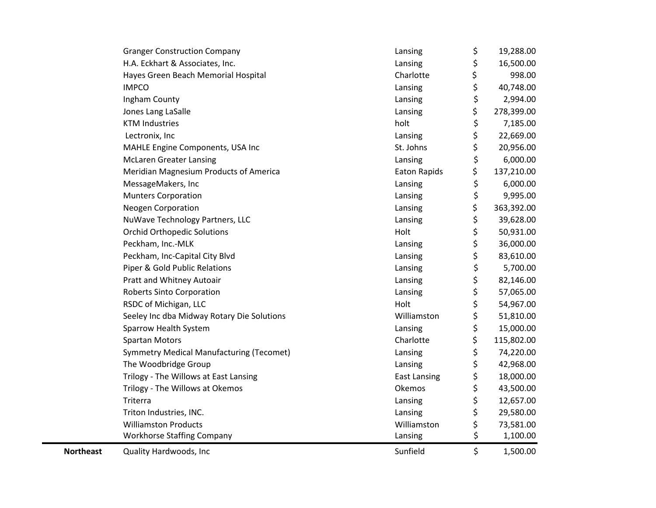|                  | H.A. Eckhart & Associates, Inc.<br>Hayes Green Beach Memorial Hospital | Lansing<br>Charlotte | \$<br>\$ | 16,500.00<br>998.00 |
|------------------|------------------------------------------------------------------------|----------------------|----------|---------------------|
|                  | <b>IMPCO</b>                                                           | Lansing              | \$       | 40,748.00           |
|                  | Ingham County                                                          | Lansing              | \$       | 2,994.00            |
|                  | Jones Lang LaSalle                                                     | Lansing              | \$       | 278,399.00          |
|                  | <b>KTM Industries</b>                                                  | holt                 | \$       | 7,185.00            |
|                  | Lectronix, Inc                                                         | Lansing              | \$       | 22,669.00           |
|                  | MAHLE Engine Components, USA Inc                                       | St. Johns            | \$       | 20,956.00           |
|                  | <b>McLaren Greater Lansing</b>                                         | Lansing              | \$       | 6,000.00            |
|                  | Meridian Magnesium Products of America                                 | Eaton Rapids         | \$       | 137,210.00          |
|                  | MessageMakers, Inc                                                     | Lansing              | \$       | 6,000.00            |
|                  | <b>Munters Corporation</b>                                             | Lansing              | \$       | 9,995.00            |
|                  | <b>Neogen Corporation</b>                                              | Lansing              | \$       | 363,392.00          |
|                  | NuWave Technology Partners, LLC                                        | Lansing              | \$       | 39,628.00           |
|                  | <b>Orchid Orthopedic Solutions</b>                                     | Holt                 | \$       | 50,931.00           |
|                  | Peckham, Inc.-MLK                                                      | Lansing              | \$       | 36,000.00           |
|                  | Peckham, Inc-Capital City Blvd                                         | Lansing              | \$       | 83,610.00           |
|                  | Piper & Gold Public Relations                                          | Lansing              | \$       | 5,700.00            |
|                  | Pratt and Whitney Autoair                                              | Lansing              | \$       | 82,146.00           |
|                  | <b>Roberts Sinto Corporation</b>                                       | Lansing              | \$       | 57,065.00           |
|                  | RSDC of Michigan, LLC                                                  | Holt                 | \$       | 54,967.00           |
|                  | Seeley Inc dba Midway Rotary Die Solutions                             | Williamston          | \$       | 51,810.00           |
|                  | Sparrow Health System                                                  | Lansing              | \$       | 15,000.00           |
|                  | <b>Spartan Motors</b>                                                  | Charlotte            | \$       | 115,802.00          |
|                  | <b>Symmetry Medical Manufacturing (Tecomet)</b>                        | Lansing              | \$       | 74,220.00           |
|                  | The Woodbridge Group                                                   | Lansing              | \$       | 42,968.00           |
|                  | Trilogy - The Willows at East Lansing                                  | <b>East Lansing</b>  | \$       | 18,000.00           |
|                  | Trilogy - The Willows at Okemos                                        | Okemos               | \$       | 43,500.00           |
|                  | Triterra                                                               | Lansing              | \$       | 12,657.00           |
|                  | Triton Industries, INC.                                                | Lansing              | \$       | 29,580.00           |
|                  | <b>Williamston Products</b>                                            | Williamston          | \$       | 73,581.00           |
|                  | <b>Workhorse Staffing Company</b>                                      | Lansing              | \$       | 1,100.00            |
| <b>Northeast</b> | Quality Hardwoods, Inc                                                 | Sunfield             | \$       | 1,500.00            |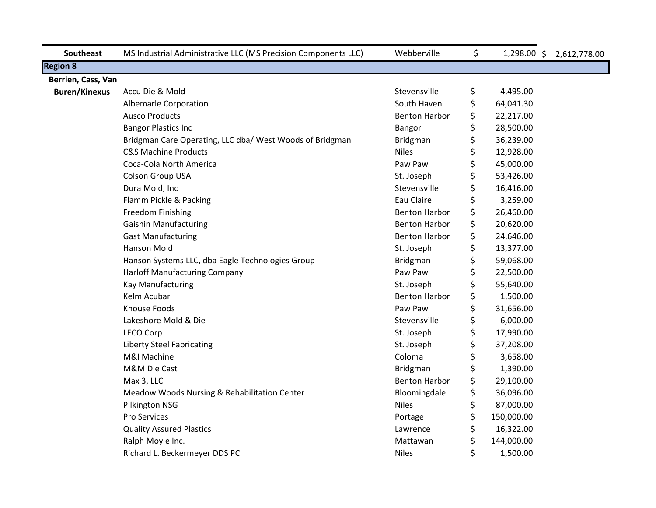| <b>Southeast</b>     | MS Industrial Administrative LLC (MS Precision Components LLC) | Webberville          | \$<br>$1,298.00$ \$ | 2,612,778.00 |
|----------------------|----------------------------------------------------------------|----------------------|---------------------|--------------|
| <b>Region 8</b>      |                                                                |                      |                     |              |
| Berrien, Cass, Van   |                                                                |                      |                     |              |
| <b>Buren/Kinexus</b> | Accu Die & Mold                                                | Stevensville         | \$<br>4,495.00      |              |
|                      | Albemarle Corporation                                          | South Haven          | \$<br>64,041.30     |              |
|                      | <b>Ausco Products</b>                                          | <b>Benton Harbor</b> | \$<br>22,217.00     |              |
|                      | <b>Bangor Plastics Inc</b>                                     | Bangor               | \$<br>28,500.00     |              |
|                      | Bridgman Care Operating, LLC dba/ West Woods of Bridgman       | Bridgman             | \$<br>36,239.00     |              |
|                      | <b>C&amp;S Machine Products</b>                                | <b>Niles</b>         | \$<br>12,928.00     |              |
|                      | Coca-Cola North America                                        | Paw Paw              | \$<br>45,000.00     |              |
|                      | Colson Group USA                                               | St. Joseph           | \$<br>53,426.00     |              |
|                      | Dura Mold, Inc                                                 | Stevensville         | \$<br>16,416.00     |              |
|                      | Flamm Pickle & Packing                                         | Eau Claire           | \$<br>3,259.00      |              |
|                      | Freedom Finishing                                              | <b>Benton Harbor</b> | \$<br>26,460.00     |              |
|                      | <b>Gaishin Manufacturing</b>                                   | <b>Benton Harbor</b> | \$<br>20,620.00     |              |
|                      | <b>Gast Manufacturing</b>                                      | <b>Benton Harbor</b> | \$<br>24,646.00     |              |
|                      | Hanson Mold                                                    | St. Joseph           | \$<br>13,377.00     |              |
|                      | Hanson Systems LLC, dba Eagle Technologies Group               | <b>Bridgman</b>      | \$<br>59,068.00     |              |
|                      | <b>Harloff Manufacturing Company</b>                           | Paw Paw              | \$<br>22,500.00     |              |
|                      | Kay Manufacturing                                              | St. Joseph           | \$<br>55,640.00     |              |
|                      | Kelm Acubar                                                    | <b>Benton Harbor</b> | \$<br>1,500.00      |              |
|                      | Knouse Foods                                                   | Paw Paw              | \$<br>31,656.00     |              |
|                      | Lakeshore Mold & Die                                           | Stevensville         | \$<br>6,000.00      |              |
|                      | <b>LECO Corp</b>                                               | St. Joseph           | \$<br>17,990.00     |              |
|                      | <b>Liberty Steel Fabricating</b>                               | St. Joseph           | \$<br>37,208.00     |              |
|                      | M&I Machine                                                    | Coloma               | \$<br>3,658.00      |              |
|                      | M&M Die Cast                                                   | <b>Bridgman</b>      | \$<br>1,390.00      |              |
|                      | Max 3, LLC                                                     | <b>Benton Harbor</b> | \$<br>29,100.00     |              |
|                      | Meadow Woods Nursing & Rehabilitation Center                   | Bloomingdale         | \$<br>36,096.00     |              |
|                      | Pilkington NSG                                                 | <b>Niles</b>         | \$<br>87,000.00     |              |
|                      | Pro Services                                                   | Portage              | \$<br>150,000.00    |              |
|                      | <b>Quality Assured Plastics</b>                                | Lawrence             | \$<br>16,322.00     |              |
|                      | Ralph Moyle Inc.                                               | Mattawan             | \$<br>144,000.00    |              |
|                      | Richard L. Beckermeyer DDS PC                                  | <b>Niles</b>         | \$<br>1,500.00      |              |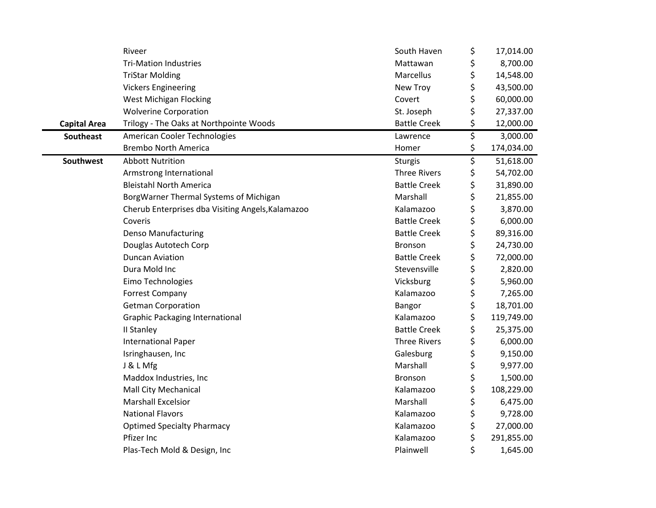|                     | Riveer                                            | South Haven         | \$<br>17,014.00  |
|---------------------|---------------------------------------------------|---------------------|------------------|
|                     | <b>Tri-Mation Industries</b>                      | Mattawan            | \$<br>8,700.00   |
|                     | <b>TriStar Molding</b>                            | Marcellus           | \$<br>14,548.00  |
|                     | <b>Vickers Engineering</b>                        | New Troy            | \$<br>43,500.00  |
|                     | <b>West Michigan Flocking</b>                     | Covert              | \$<br>60,000.00  |
|                     | <b>Wolverine Corporation</b>                      | St. Joseph          | \$<br>27,337.00  |
| <b>Capital Area</b> | Trilogy - The Oaks at Northpointe Woods           | <b>Battle Creek</b> | \$<br>12,000.00  |
| <b>Southeast</b>    | American Cooler Technologies                      | Lawrence            | \$<br>3,000.00   |
|                     | <b>Brembo North America</b>                       | Homer               | \$<br>174,034.00 |
| <b>Southwest</b>    | <b>Abbott Nutrition</b>                           | <b>Sturgis</b>      | \$<br>51,618.00  |
|                     | Armstrong International                           | <b>Three Rivers</b> | \$<br>54,702.00  |
|                     | <b>Bleistahl North America</b>                    | <b>Battle Creek</b> | \$<br>31,890.00  |
|                     | BorgWarner Thermal Systems of Michigan            | Marshall            | \$<br>21,855.00  |
|                     | Cherub Enterprises dba Visiting Angels, Kalamazoo | Kalamazoo           | \$<br>3,870.00   |
|                     | Coveris                                           | <b>Battle Creek</b> | \$<br>6,000.00   |
|                     | <b>Denso Manufacturing</b>                        | <b>Battle Creek</b> | \$<br>89,316.00  |
|                     | Douglas Autotech Corp                             | Bronson             | \$<br>24,730.00  |
|                     | <b>Duncan Aviation</b>                            | <b>Battle Creek</b> | \$<br>72,000.00  |
|                     | Dura Mold Inc                                     | Stevensville        | \$<br>2,820.00   |
|                     | Eimo Technologies                                 | Vicksburg           | \$<br>5,960.00   |
|                     | <b>Forrest Company</b>                            | Kalamazoo           | \$<br>7,265.00   |
|                     | <b>Getman Corporation</b>                         | Bangor              | \$<br>18,701.00  |
|                     | <b>Graphic Packaging International</b>            | Kalamazoo           | \$<br>119,749.00 |
|                     | II Stanley                                        | <b>Battle Creek</b> | \$<br>25,375.00  |
|                     | <b>International Paper</b>                        | <b>Three Rivers</b> | \$<br>6,000.00   |
|                     | Isringhausen, Inc                                 | Galesburg           | \$<br>9,150.00   |
|                     | J & L Mfg                                         | Marshall            | \$<br>9,977.00   |
|                     | Maddox Industries, Inc                            | Bronson             | \$<br>1,500.00   |
|                     | Mall City Mechanical                              | Kalamazoo           | \$<br>108,229.00 |
|                     | <b>Marshall Excelsior</b>                         | Marshall            | \$<br>6,475.00   |
|                     | <b>National Flavors</b>                           | Kalamazoo           | \$<br>9,728.00   |
|                     | <b>Optimed Specialty Pharmacy</b>                 | Kalamazoo           | \$<br>27,000.00  |
|                     | Pfizer Inc                                        | Kalamazoo           | \$<br>291,855.00 |
|                     | Plas-Tech Mold & Design, Inc                      | Plainwell           | \$<br>1,645.00   |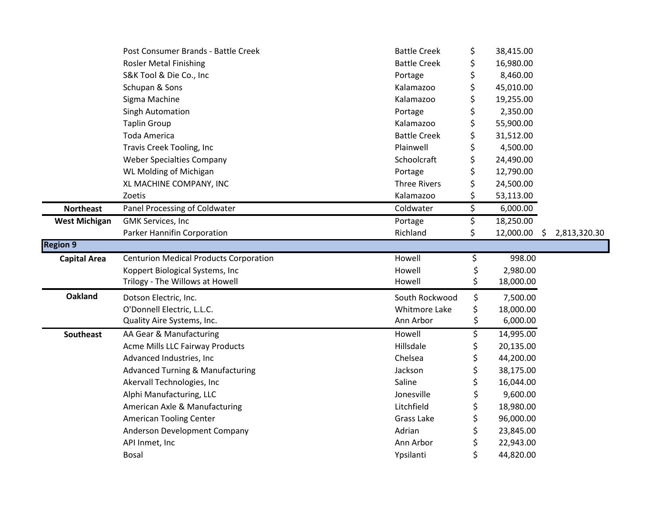|                      | Post Consumer Brands - Battle Creek           | <b>Battle Creek</b> | \$ | 38,415.00 |   |              |
|----------------------|-----------------------------------------------|---------------------|----|-----------|---|--------------|
|                      | <b>Rosler Metal Finishing</b>                 | <b>Battle Creek</b> | \$ | 16,980.00 |   |              |
|                      | S&K Tool & Die Co., Inc                       | Portage             | \$ | 8,460.00  |   |              |
|                      | Schupan & Sons                                | Kalamazoo           | \$ | 45,010.00 |   |              |
|                      | Sigma Machine                                 | Kalamazoo           | \$ | 19,255.00 |   |              |
|                      | Singh Automation                              | Portage             | \$ | 2,350.00  |   |              |
|                      | <b>Taplin Group</b>                           | Kalamazoo           | \$ | 55,900.00 |   |              |
|                      | Toda America                                  | <b>Battle Creek</b> | \$ | 31,512.00 |   |              |
|                      | Travis Creek Tooling, Inc                     | Plainwell           | \$ | 4,500.00  |   |              |
|                      | <b>Weber Specialties Company</b>              | Schoolcraft         | \$ | 24,490.00 |   |              |
|                      | WL Molding of Michigan                        | Portage             | \$ | 12,790.00 |   |              |
|                      | XL MACHINE COMPANY, INC                       | <b>Three Rivers</b> | \$ | 24,500.00 |   |              |
|                      | Zoetis                                        | Kalamazoo           | \$ | 53,113.00 |   |              |
| <b>Northeast</b>     | Panel Processing of Coldwater                 | Coldwater           | \$ | 6,000.00  |   |              |
| <b>West Michigan</b> | <b>GMK Services, Inc</b>                      | Portage             | \$ | 18,250.00 |   |              |
|                      | Parker Hannifin Corporation                   | Richland            | \$ | 12,000.00 | S | 2,813,320.30 |
| <b>Region 9</b>      |                                               |                     |    |           |   |              |
| <b>Capital Area</b>  | <b>Centurion Medical Products Corporation</b> | Howell              | \$ | 998.00    |   |              |
|                      | Koppert Biological Systems, Inc               | Howell              | \$ | 2,980.00  |   |              |
|                      | Trilogy - The Willows at Howell               | Howell              | \$ | 18,000.00 |   |              |
| <b>Oakland</b>       | Dotson Electric, Inc.                         | South Rockwood      | \$ | 7,500.00  |   |              |
|                      | O'Donnell Electric, L.L.C.                    | Whitmore Lake       | \$ | 18,000.00 |   |              |
|                      | Quality Aire Systems, Inc.                    | Ann Arbor           | \$ | 6,000.00  |   |              |
| Southeast            | AA Gear & Manufacturing                       | Howell              | \$ | 14,995.00 |   |              |
|                      | <b>Acme Mills LLC Fairway Products</b>        | Hillsdale           | \$ | 20,135.00 |   |              |
|                      | Advanced Industries, Inc                      | Chelsea             | \$ | 44,200.00 |   |              |
|                      | <b>Advanced Turning &amp; Manufacturing</b>   | Jackson             |    | 38,175.00 |   |              |
|                      | Akervall Technologies, Inc                    | Saline              | \$ | 16,044.00 |   |              |
|                      | Alphi Manufacturing, LLC                      | Jonesville          | \$ | 9,600.00  |   |              |
|                      | American Axle & Manufacturing                 | Litchfield          | \$ | 18,980.00 |   |              |
|                      | <b>American Tooling Center</b>                | Grass Lake          | \$ | 96,000.00 |   |              |
|                      | Anderson Development Company                  | Adrian              | \$ | 23,845.00 |   |              |
|                      | API Inmet, Inc                                | Ann Arbor           |    | 22,943.00 |   |              |
|                      | <b>Bosal</b>                                  | Ypsilanti           | Ś  | 44,820.00 |   |              |
|                      |                                               |                     |    |           |   |              |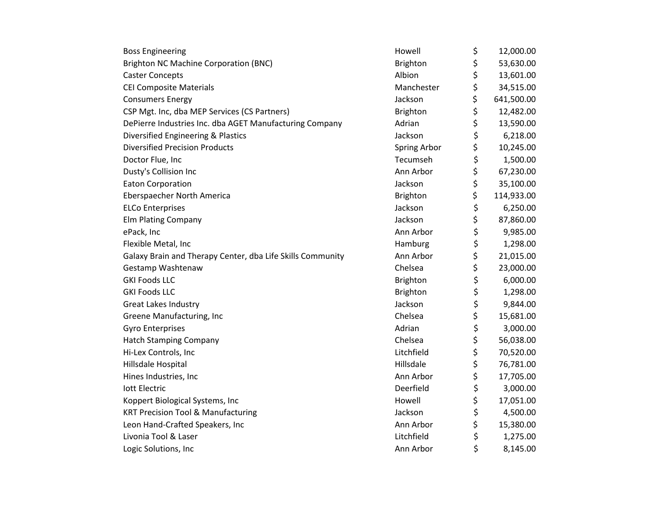| <b>Boss Engineering</b>                                    | Howell          | \$<br>12,000.00  |
|------------------------------------------------------------|-----------------|------------------|
| <b>Brighton NC Machine Corporation (BNC)</b>               | <b>Brighton</b> | \$<br>53,630.00  |
| <b>Caster Concepts</b>                                     | Albion          | \$<br>13,601.00  |
| <b>CEI Composite Materials</b>                             | Manchester      | \$<br>34,515.00  |
| <b>Consumers Energy</b>                                    | Jackson         | \$<br>641,500.00 |
| CSP Mgt. Inc, dba MEP Services (CS Partners)               | Brighton        | \$<br>12,482.00  |
| DePierre Industries Inc. dba AGET Manufacturing Company    | Adrian          | \$<br>13,590.00  |
| Diversified Engineering & Plastics                         | Jackson         | \$<br>6,218.00   |
| <b>Diversified Precision Products</b>                      | Spring Arbor    | \$<br>10,245.00  |
| Doctor Flue, Inc                                           | Tecumseh        | \$<br>1,500.00   |
| Dusty's Collision Inc                                      | Ann Arbor       | \$<br>67,230.00  |
| <b>Eaton Corporation</b>                                   | Jackson         | \$<br>35,100.00  |
| Eberspaecher North America                                 | Brighton        | \$<br>114,933.00 |
| <b>ELCo Enterprises</b>                                    | Jackson         | \$<br>6,250.00   |
| <b>Elm Plating Company</b>                                 | Jackson         | \$<br>87,860.00  |
| ePack, Inc                                                 | Ann Arbor       | \$<br>9,985.00   |
| Flexible Metal, Inc                                        | Hamburg         | \$<br>1,298.00   |
| Galaxy Brain and Therapy Center, dba Life Skills Community | Ann Arbor       | \$<br>21,015.00  |
| Gestamp Washtenaw                                          | Chelsea         | \$<br>23,000.00  |
| <b>GKI Foods LLC</b>                                       | <b>Brighton</b> | \$<br>6,000.00   |
| <b>GKI Foods LLC</b>                                       | <b>Brighton</b> | \$<br>1,298.00   |
| <b>Great Lakes Industry</b>                                | Jackson         | \$<br>9,844.00   |
| Greene Manufacturing, Inc                                  | Chelsea         | \$<br>15,681.00  |
| <b>Gyro Enterprises</b>                                    | Adrian          | \$<br>3,000.00   |
| <b>Hatch Stamping Company</b>                              | Chelsea         | \$<br>56,038.00  |
| Hi-Lex Controls, Inc                                       | Litchfield      | \$<br>70,520.00  |
| Hillsdale Hospital                                         | Hillsdale       | \$<br>76,781.00  |
| Hines Industries, Inc                                      | Ann Arbor       | \$<br>17,705.00  |
| lott Electric                                              | Deerfield       | \$<br>3,000.00   |
| Koppert Biological Systems, Inc                            | Howell          | \$<br>17,051.00  |
| <b>KRT Precision Tool &amp; Manufacturing</b>              | Jackson         | \$<br>4,500.00   |
| Leon Hand-Crafted Speakers, Inc                            | Ann Arbor       | \$<br>15,380.00  |
| Livonia Tool & Laser                                       | Litchfield      | \$<br>1,275.00   |
| Logic Solutions, Inc                                       | Ann Arbor       | \$<br>8,145.00   |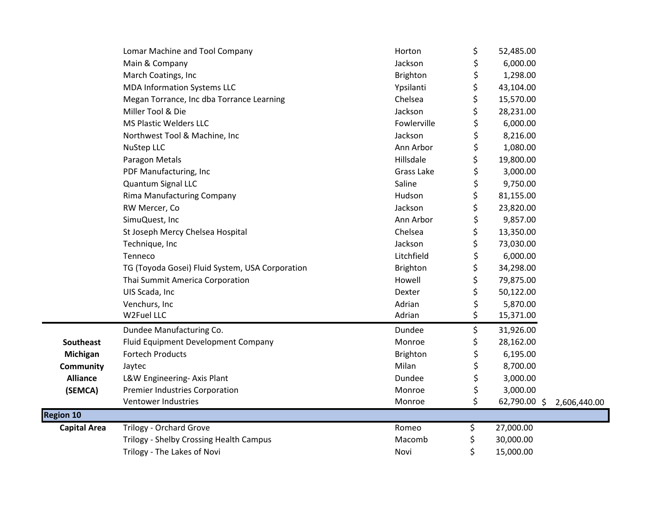|                     | Lomar Machine and Tool Company                  | Horton      | \$<br>52,485.00 |                           |
|---------------------|-------------------------------------------------|-------------|-----------------|---------------------------|
|                     | Main & Company                                  | Jackson     | \$<br>6,000.00  |                           |
|                     | March Coatings, Inc                             | Brighton    | \$<br>1,298.00  |                           |
|                     | <b>MDA Information Systems LLC</b>              | Ypsilanti   | \$<br>43,104.00 |                           |
|                     | Megan Torrance, Inc dba Torrance Learning       | Chelsea     | \$<br>15,570.00 |                           |
|                     | Miller Tool & Die                               | Jackson     | \$<br>28,231.00 |                           |
|                     | <b>MS Plastic Welders LLC</b>                   | Fowlerville | \$<br>6,000.00  |                           |
|                     | Northwest Tool & Machine, Inc                   | Jackson     | \$<br>8,216.00  |                           |
|                     | NuStep LLC                                      | Ann Arbor   | \$<br>1,080.00  |                           |
|                     | Paragon Metals                                  | Hillsdale   | \$<br>19,800.00 |                           |
|                     | PDF Manufacturing, Inc                          | Grass Lake  | \$<br>3,000.00  |                           |
|                     | Quantum Signal LLC                              | Saline      | \$<br>9,750.00  |                           |
|                     | <b>Rima Manufacturing Company</b>               | Hudson      | \$<br>81,155.00 |                           |
|                     | RW Mercer, Co                                   | Jackson     | \$<br>23,820.00 |                           |
|                     | SimuQuest, Inc                                  | Ann Arbor   | \$<br>9,857.00  |                           |
|                     | St Joseph Mercy Chelsea Hospital                | Chelsea     | \$<br>13,350.00 |                           |
|                     | Technique, Inc                                  | Jackson     | \$<br>73,030.00 |                           |
|                     | Tenneco                                         | Litchfield  | \$<br>6,000.00  |                           |
|                     | TG (Toyoda Gosei) Fluid System, USA Corporation | Brighton    | \$<br>34,298.00 |                           |
|                     | Thai Summit America Corporation                 | Howell      | \$<br>79,875.00 |                           |
|                     | UIS Scada, Inc                                  | Dexter      | \$<br>50,122.00 |                           |
|                     | Venchurs, Inc                                   | Adrian      | \$<br>5,870.00  |                           |
|                     | W2Fuel LLC                                      | Adrian      | \$<br>15,371.00 |                           |
|                     | Dundee Manufacturing Co.                        | Dundee      | \$<br>31,926.00 |                           |
| Southeast           | Fluid Equipment Development Company             | Monroe      | \$<br>28,162.00 |                           |
| Michigan            | <b>Fortech Products</b>                         | Brighton    | \$<br>6,195.00  |                           |
| <b>Community</b>    | Jaytec                                          | Milan       | \$<br>8,700.00  |                           |
| <b>Alliance</b>     | L&W Engineering- Axis Plant                     | Dundee      | \$<br>3,000.00  |                           |
| (SEMCA)             | <b>Premier Industries Corporation</b>           | Monroe      | \$<br>3,000.00  |                           |
|                     | Ventower Industries                             | Monroe      | \$              | 62,790.00 \$ 2,606,440.00 |
| <b>Region 10</b>    |                                                 |             |                 |                           |
| <b>Capital Area</b> | Trilogy - Orchard Grove                         | Romeo       | \$<br>27,000.00 |                           |
|                     | Trilogy - Shelby Crossing Health Campus         | Macomb      | \$<br>30,000.00 |                           |
|                     | Trilogy - The Lakes of Novi                     | Novi        | \$<br>15,000.00 |                           |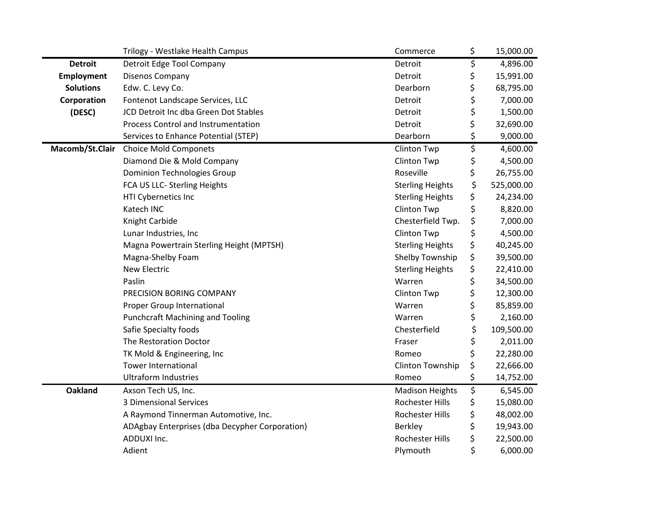|                   | Trilogy - Westlake Health Campus               | Commerce                | \$<br>15,000.00  |
|-------------------|------------------------------------------------|-------------------------|------------------|
| <b>Detroit</b>    | Detroit Edge Tool Company                      | Detroit                 | \$<br>4,896.00   |
| <b>Employment</b> | Disenos Company                                | Detroit                 | \$<br>15,991.00  |
| <b>Solutions</b>  | Edw. C. Levy Co.                               | Dearborn                | \$<br>68,795.00  |
| Corporation       | Fontenot Landscape Services, LLC               | Detroit                 | \$<br>7,000.00   |
| (DESC)            | JCD Detroit Inc dba Green Dot Stables          | Detroit                 | \$<br>1,500.00   |
|                   | Process Control and Instrumentation            | Detroit                 | \$<br>32,690.00  |
|                   | Services to Enhance Potential (STEP)           | Dearborn                | \$<br>9,000.00   |
| Macomb/St.Clair   | <b>Choice Mold Componets</b>                   | Clinton Twp             | \$<br>4,600.00   |
|                   | Diamond Die & Mold Company                     | Clinton Twp             | \$<br>4,500.00   |
|                   | <b>Dominion Technologies Group</b>             | Roseville               | \$<br>26,755.00  |
|                   | FCA US LLC- Sterling Heights                   | <b>Sterling Heights</b> | \$<br>525,000.00 |
|                   | HTI Cybernetics Inc                            | <b>Sterling Heights</b> | \$<br>24,234.00  |
|                   | Katech INC                                     | Clinton Twp             | \$<br>8,820.00   |
|                   | Knight Carbide                                 | Chesterfield Twp.       | \$<br>7,000.00   |
|                   | Lunar Industries, Inc                          | <b>Clinton Twp</b>      | \$<br>4,500.00   |
|                   | Magna Powertrain Sterling Height (MPTSH)       | <b>Sterling Heights</b> | \$<br>40,245.00  |
|                   | Magna-Shelby Foam                              | Shelby Township         | \$<br>39,500.00  |
|                   | <b>New Electric</b>                            | <b>Sterling Heights</b> | \$<br>22,410.00  |
|                   | Paslin                                         | Warren                  | \$<br>34,500.00  |
|                   | PRECISION BORING COMPANY                       | Clinton Twp             | \$<br>12,300.00  |
|                   | Proper Group International                     | Warren                  | \$<br>85,859.00  |
|                   | <b>Punchcraft Machining and Tooling</b>        | Warren                  | \$<br>2,160.00   |
|                   | Safie Specialty foods                          | Chesterfield            | \$<br>109,500.00 |
|                   | The Restoration Doctor                         | Fraser                  | \$<br>2,011.00   |
|                   | TK Mold & Engineering, Inc                     | Romeo                   | \$<br>22,280.00  |
|                   | <b>Tower International</b>                     | Clinton Township        | \$<br>22,666.00  |
|                   | <b>Ultraform Industries</b>                    | Romeo                   | \$<br>14,752.00  |
| <b>Oakland</b>    | Axson Tech US, Inc.                            | <b>Madison Heights</b>  | \$<br>6,545.00   |
|                   | <b>3 Dimensional Services</b>                  | Rochester Hills         | \$<br>15,080.00  |
|                   | A Raymond Tinnerman Automotive, Inc.           | Rochester Hills         | \$<br>48,002.00  |
|                   | ADAgbay Enterprises (dba Decypher Corporation) | <b>Berkley</b>          | \$<br>19,943.00  |
|                   | ADDUXI Inc.                                    | Rochester Hills         | \$<br>22,500.00  |
|                   | Adient                                         | Plymouth                | \$<br>6,000.00   |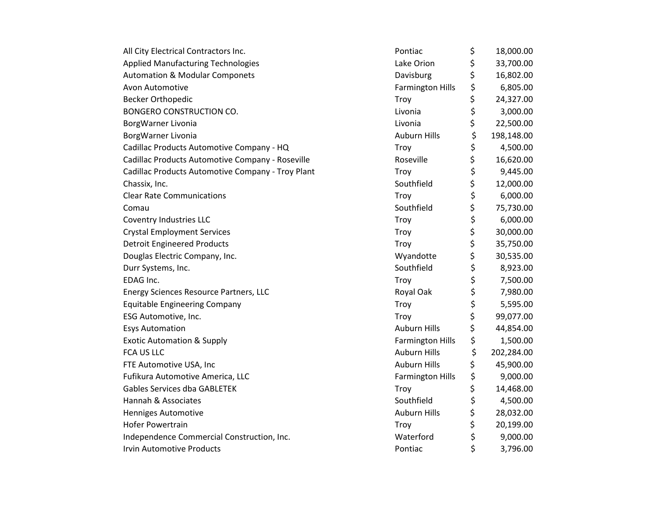| All City Electrical Contractors Inc.              | Pontiac                 | \$<br>18,000.00  |
|---------------------------------------------------|-------------------------|------------------|
| <b>Applied Manufacturing Technologies</b>         | Lake Orion              | \$<br>33,700.00  |
| <b>Automation &amp; Modular Componets</b>         | Davisburg               | \$<br>16,802.00  |
| Avon Automotive                                   | <b>Farmington Hills</b> | \$<br>6,805.00   |
| <b>Becker Orthopedic</b>                          | Troy                    | \$<br>24,327.00  |
| BONGERO CONSTRUCTION CO.                          | Livonia                 | \$<br>3,000.00   |
| BorgWarner Livonia                                | Livonia                 | \$<br>22,500.00  |
| BorgWarner Livonia                                | <b>Auburn Hills</b>     | \$<br>198,148.00 |
| Cadillac Products Automotive Company - HQ         | Troy                    | \$<br>4,500.00   |
| Cadillac Products Automotive Company - Roseville  | Roseville               | \$<br>16,620.00  |
| Cadillac Products Automotive Company - Troy Plant | Troy                    | \$<br>9,445.00   |
| Chassix, Inc.                                     | Southfield              | \$<br>12,000.00  |
| <b>Clear Rate Communications</b>                  | Troy                    | \$<br>6,000.00   |
| Comau                                             | Southfield              | \$<br>75,730.00  |
| Coventry Industries LLC                           | Troy                    | \$<br>6,000.00   |
| <b>Crystal Employment Services</b>                | Troy                    | \$<br>30,000.00  |
| <b>Detroit Engineered Products</b>                | Troy                    | \$<br>35,750.00  |
| Douglas Electric Company, Inc.                    | Wyandotte               | \$<br>30,535.00  |
| Durr Systems, Inc.                                | Southfield              | \$<br>8,923.00   |
| EDAG Inc.                                         | Troy                    | \$<br>7,500.00   |
| Energy Sciences Resource Partners, LLC            | Royal Oak               | \$<br>7,980.00   |
| <b>Equitable Engineering Company</b>              | Troy                    | \$<br>5,595.00   |
| ESG Automotive, Inc.                              | Troy                    | \$<br>99,077.00  |
| <b>Esys Automation</b>                            | <b>Auburn Hills</b>     | \$<br>44,854.00  |
| <b>Exotic Automation &amp; Supply</b>             | <b>Farmington Hills</b> | \$<br>1,500.00   |
| <b>FCA US LLC</b>                                 | <b>Auburn Hills</b>     | \$<br>202,284.00 |
| FTE Automotive USA, Inc                           | <b>Auburn Hills</b>     | \$<br>45,900.00  |
| Fufikura Automotive America, LLC                  | <b>Farmington Hills</b> | \$<br>9,000.00   |
| <b>Gables Services dba GABLETEK</b>               | Troy                    | \$<br>14,468.00  |
| Hannah & Associates                               | Southfield              | \$<br>4,500.00   |
| Henniges Automotive                               | <b>Auburn Hills</b>     | \$<br>28,032.00  |
| <b>Hofer Powertrain</b>                           | Troy                    | \$<br>20,199.00  |
| Independence Commercial Construction, Inc.        | Waterford               | \$<br>9,000.00   |
| <b>Irvin Automotive Products</b>                  | Pontiac                 | \$<br>3,796.00   |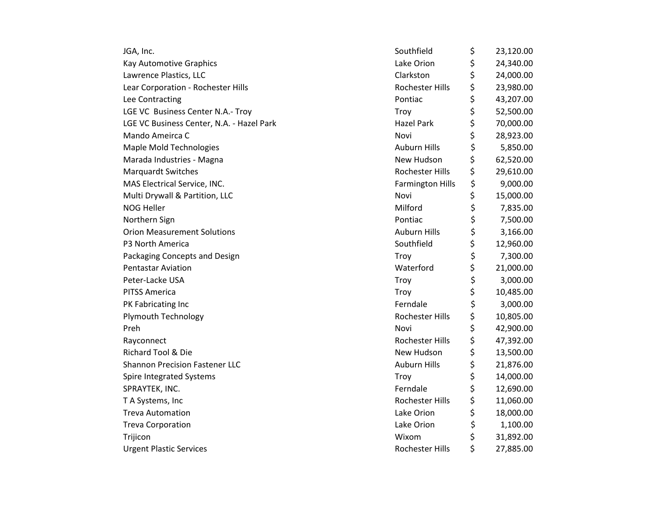| JGA, Inc.                                 | Southfield              | \$<br>23,120.00 |
|-------------------------------------------|-------------------------|-----------------|
| Kay Automotive Graphics                   | Lake Orion              | \$<br>24,340.00 |
| Lawrence Plastics, LLC                    | Clarkston               | \$<br>24,000.00 |
| Lear Corporation - Rochester Hills        | Rochester Hills         | \$<br>23,980.00 |
| Lee Contracting                           | Pontiac                 | \$<br>43,207.00 |
| LGE VC Business Center N.A.- Troy         | Troy                    | \$<br>52,500.00 |
| LGE VC Business Center, N.A. - Hazel Park | <b>Hazel Park</b>       | \$<br>70,000.00 |
| Mando Ameirca C                           | Novi                    | \$<br>28,923.00 |
| <b>Maple Mold Technologies</b>            | <b>Auburn Hills</b>     | \$<br>5,850.00  |
| Marada Industries - Magna                 | New Hudson              | \$<br>62,520.00 |
| <b>Marquardt Switches</b>                 | Rochester Hills         | \$<br>29,610.00 |
| MAS Electrical Service, INC.              | <b>Farmington Hills</b> | \$<br>9,000.00  |
| Multi Drywall & Partition, LLC            | Novi                    | \$<br>15,000.00 |
| <b>NOG Heller</b>                         | Milford                 | \$<br>7,835.00  |
| Northern Sign                             | Pontiac                 | \$<br>7,500.00  |
| <b>Orion Measurement Solutions</b>        | <b>Auburn Hills</b>     | \$<br>3,166.00  |
| P3 North America                          | Southfield              | \$<br>12,960.00 |
| Packaging Concepts and Design             | Troy                    | \$<br>7,300.00  |
| <b>Pentastar Aviation</b>                 | Waterford               | \$<br>21,000.00 |
| Peter-Lacke USA                           | Troy                    | \$<br>3,000.00  |
| <b>PITSS America</b>                      | Troy                    | \$<br>10,485.00 |
| PK Fabricating Inc                        | Ferndale                | \$<br>3,000.00  |
| <b>Plymouth Technology</b>                | Rochester Hills         | \$<br>10,805.00 |
| Preh                                      | Novi                    | \$<br>42,900.00 |
| Rayconnect                                | Rochester Hills         | \$<br>47,392.00 |
| Richard Tool & Die                        | New Hudson              | \$<br>13,500.00 |
| <b>Shannon Precision Fastener LLC</b>     | <b>Auburn Hills</b>     | \$<br>21,876.00 |
| Spire Integrated Systems                  | Troy                    | \$<br>14,000.00 |
| SPRAYTEK, INC.                            | Ferndale                | \$<br>12,690.00 |
| T A Systems, Inc                          | Rochester Hills         | \$<br>11,060.00 |
| <b>Treva Automation</b>                   | Lake Orion              | \$<br>18,000.00 |
| <b>Treva Corporation</b>                  | Lake Orion              | \$<br>1,100.00  |
| Trijicon                                  | Wixom                   | \$<br>31,892.00 |
| <b>Urgent Plastic Services</b>            | Rochester Hills         | \$<br>27,885.00 |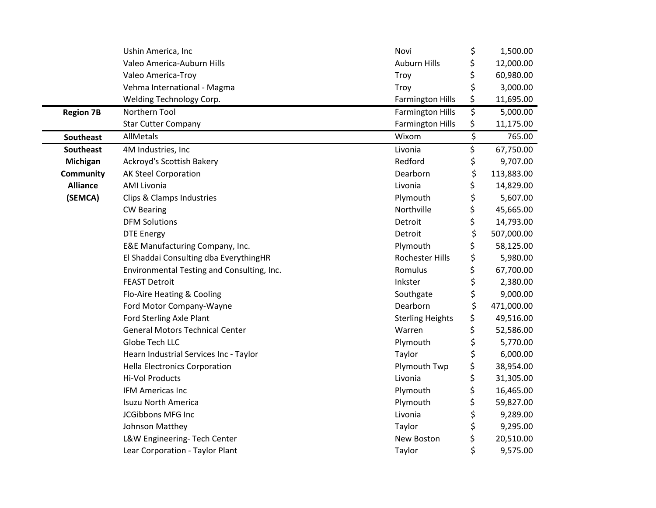|                  | Ushin America, Inc                         | Novi                    | \$                      | 1,500.00   |
|------------------|--------------------------------------------|-------------------------|-------------------------|------------|
|                  | Valeo America-Auburn Hills                 | <b>Auburn Hills</b>     | \$                      | 12,000.00  |
|                  | Valeo America-Troy                         | Troy                    | \$                      | 60,980.00  |
|                  | Vehma International - Magma                | Troy                    | \$                      | 3,000.00   |
|                  | Welding Technology Corp.                   | <b>Farmington Hills</b> | \$                      | 11,695.00  |
| <b>Region 7B</b> | Northern Tool                              | <b>Farmington Hills</b> | \$                      | 5,000.00   |
|                  | <b>Star Cutter Company</b>                 | <b>Farmington Hills</b> | \$                      | 11,175.00  |
| Southeast        | AllMetals                                  | Wixom                   | $\overline{\mathsf{S}}$ | 765.00     |
| <b>Southeast</b> | 4M Industries, Inc                         | Livonia                 | \$                      | 67,750.00  |
| Michigan         | Ackroyd's Scottish Bakery                  | Redford                 | \$                      | 9,707.00   |
| <b>Community</b> | <b>AK Steel Corporation</b>                | Dearborn                | \$                      | 113,883.00 |
| <b>Alliance</b>  | <b>AMI Livonia</b>                         | Livonia                 | \$                      | 14,829.00  |
| (SEMCA)          | Clips & Clamps Industries                  | Plymouth                | \$                      | 5,607.00   |
|                  | <b>CW Bearing</b>                          | Northville              | \$                      | 45,665.00  |
|                  | <b>DFM Solutions</b>                       | Detroit                 | \$                      | 14,793.00  |
|                  | <b>DTE Energy</b>                          | Detroit                 | \$                      | 507,000.00 |
|                  | E&E Manufacturing Company, Inc.            | Plymouth                | \$                      | 58,125.00  |
|                  | El Shaddai Consulting dba EverythingHR     | Rochester Hills         | \$                      | 5,980.00   |
|                  | Environmental Testing and Consulting, Inc. | Romulus                 | \$                      | 67,700.00  |
|                  | <b>FEAST Detroit</b>                       | Inkster                 | \$                      | 2,380.00   |
|                  | Flo-Aire Heating & Cooling                 | Southgate               | \$                      | 9,000.00   |
|                  | Ford Motor Company-Wayne                   | Dearborn                | \$                      | 471,000.00 |
|                  | Ford Sterling Axle Plant                   | <b>Sterling Heights</b> | \$                      | 49,516.00  |
|                  | <b>General Motors Technical Center</b>     | Warren                  | \$                      | 52,586.00  |
|                  | Globe Tech LLC                             | Plymouth                | \$                      | 5,770.00   |
|                  | Hearn Industrial Services Inc - Taylor     | Taylor                  | \$                      | 6,000.00   |
|                  | <b>Hella Electronics Corporation</b>       | Plymouth Twp            | \$                      | 38,954.00  |
|                  | Hi-Vol Products                            | Livonia                 | \$                      | 31,305.00  |
|                  | <b>IFM Americas Inc</b>                    | Plymouth                | \$                      | 16,465.00  |
|                  | <b>Isuzu North America</b>                 | Plymouth                | \$                      | 59,827.00  |
|                  | JCGibbons MFG Inc                          | Livonia                 | \$                      | 9,289.00   |
|                  | Johnson Matthey                            | Taylor                  | \$                      | 9,295.00   |
|                  | L&W Engineering- Tech Center               | New Boston              | \$                      | 20,510.00  |
|                  | Lear Corporation - Taylor Plant            | Taylor                  | \$                      | 9,575.00   |